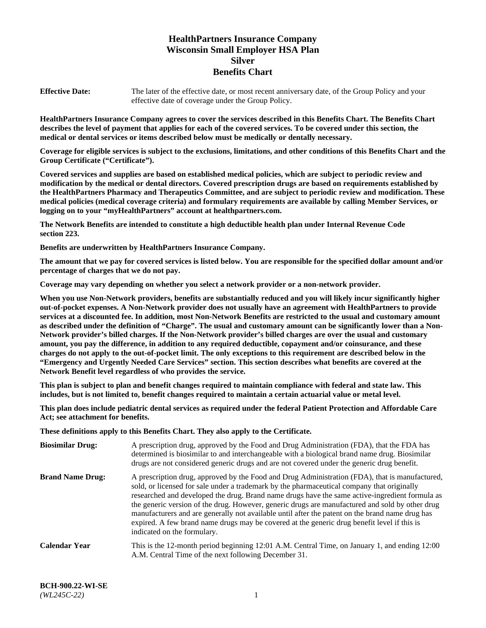# **HealthPartners Insurance Company Wisconsin Small Employer HSA Plan Silver Benefits Chart**

**Effective Date:** The later of the effective date, or most recent anniversary date, of the Group Policy and your effective date of coverage under the Group Policy.

**HealthPartners Insurance Company agrees to cover the services described in this Benefits Chart. The Benefits Chart describes the level of payment that applies for each of the covered services. To be covered under this section, the medical or dental services or items described below must be medically or dentally necessary.**

**Coverage for eligible services is subject to the exclusions, limitations, and other conditions of this Benefits Chart and the Group Certificate ("Certificate").**

**Covered services and supplies are based on established medical policies, which are subject to periodic review and modification by the medical or dental directors. Covered prescription drugs are based on requirements established by the HealthPartners Pharmacy and Therapeutics Committee, and are subject to periodic review and modification. These medical policies (medical coverage criteria) and formulary requirements are available by calling Member Services, or logging on to your "myHealthPartners" account at [healthpartners.com.](https://www.healthpartners.com/hp/index.html)** 

**The Network Benefits are intended to constitute a high deductible health plan under Internal Revenue Code section 223.**

**Benefits are underwritten by HealthPartners Insurance Company.**

**The amount that we pay for covered services is listed below. You are responsible for the specified dollar amount and/or percentage of charges that we do not pay.**

**Coverage may vary depending on whether you select a network provider or a non-network provider.**

**When you use Non-Network providers, benefits are substantially reduced and you will likely incur significantly higher out-of-pocket expenses. A Non-Network provider does not usually have an agreement with HealthPartners to provide services at a discounted fee. In addition, most Non-Network Benefits are restricted to the usual and customary amount as described under the definition of "Charge". The usual and customary amount can be significantly lower than a Non-Network provider's billed charges. If the Non-Network provider's billed charges are over the usual and customary amount, you pay the difference, in addition to any required deductible, copayment and/or coinsurance, and these charges do not apply to the out-of-pocket limit. The only exceptions to this requirement are described below in the "Emergency and Urgently Needed Care Services" section. This section describes what benefits are covered at the Network Benefit level regardless of who provides the service.**

**This plan is subject to plan and benefit changes required to maintain compliance with federal and state law. This includes, but is not limited to, benefit changes required to maintain a certain actuarial value or metal level.**

**This plan does include pediatric dental services as required under the federal Patient Protection and Affordable Care Act; see attachment for benefits.**

**These definitions apply to this Benefits Chart. They also apply to the Certificate.**

| <b>Biosimilar Drug:</b> | A prescription drug, approved by the Food and Drug Administration (FDA), that the FDA has<br>determined is biosimilar to and interchangeable with a biological brand name drug. Biosimilar<br>drugs are not considered generic drugs and are not covered under the generic drug benefit.                                                                                                                                                                                                                                                                                                                                           |
|-------------------------|------------------------------------------------------------------------------------------------------------------------------------------------------------------------------------------------------------------------------------------------------------------------------------------------------------------------------------------------------------------------------------------------------------------------------------------------------------------------------------------------------------------------------------------------------------------------------------------------------------------------------------|
| <b>Brand Name Drug:</b> | A prescription drug, approved by the Food and Drug Administration (FDA), that is manufactured,<br>sold, or licensed for sale under a trademark by the pharmaceutical company that originally<br>researched and developed the drug. Brand name drugs have the same active-ingredient formula as<br>the generic version of the drug. However, generic drugs are manufactured and sold by other drug<br>manufacturers and are generally not available until after the patent on the brand name drug has<br>expired. A few brand name drugs may be covered at the generic drug benefit level if this is<br>indicated on the formulary. |
| <b>Calendar Year</b>    | This is the 12-month period beginning 12:01 A.M. Central Time, on January 1, and ending 12:00<br>A.M. Central Time of the next following December 31.                                                                                                                                                                                                                                                                                                                                                                                                                                                                              |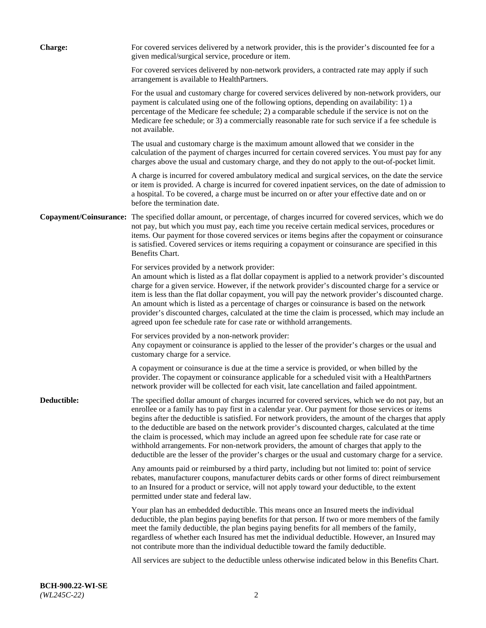| <b>Charge:</b> | For covered services delivered by a network provider, this is the provider's discounted fee for a<br>given medical/surgical service, procedure or item.                                                                                                                                                                                                                                                                                                                                                                                                                                                                                                                                                                 |
|----------------|-------------------------------------------------------------------------------------------------------------------------------------------------------------------------------------------------------------------------------------------------------------------------------------------------------------------------------------------------------------------------------------------------------------------------------------------------------------------------------------------------------------------------------------------------------------------------------------------------------------------------------------------------------------------------------------------------------------------------|
|                | For covered services delivered by non-network providers, a contracted rate may apply if such<br>arrangement is available to HealthPartners.                                                                                                                                                                                                                                                                                                                                                                                                                                                                                                                                                                             |
|                | For the usual and customary charge for covered services delivered by non-network providers, our<br>payment is calculated using one of the following options, depending on availability: 1) a<br>percentage of the Medicare fee schedule; 2) a comparable schedule if the service is not on the<br>Medicare fee schedule; or 3) a commercially reasonable rate for such service if a fee schedule is<br>not available.                                                                                                                                                                                                                                                                                                   |
|                | The usual and customary charge is the maximum amount allowed that we consider in the<br>calculation of the payment of charges incurred for certain covered services. You must pay for any<br>charges above the usual and customary charge, and they do not apply to the out-of-pocket limit.                                                                                                                                                                                                                                                                                                                                                                                                                            |
|                | A charge is incurred for covered ambulatory medical and surgical services, on the date the service<br>or item is provided. A charge is incurred for covered inpatient services, on the date of admission to<br>a hospital. To be covered, a charge must be incurred on or after your effective date and on or<br>before the termination date.                                                                                                                                                                                                                                                                                                                                                                           |
|                | Copayment/Coinsurance: The specified dollar amount, or percentage, of charges incurred for covered services, which we do<br>not pay, but which you must pay, each time you receive certain medical services, procedures or<br>items. Our payment for those covered services or items begins after the copayment or coinsurance<br>is satisfied. Covered services or items requiring a copayment or coinsurance are specified in this<br>Benefits Chart.                                                                                                                                                                                                                                                                 |
|                | For services provided by a network provider:<br>An amount which is listed as a flat dollar copayment is applied to a network provider's discounted<br>charge for a given service. However, if the network provider's discounted charge for a service or<br>item is less than the flat dollar copayment, you will pay the network provider's discounted charge.<br>An amount which is listed as a percentage of charges or coinsurance is based on the network<br>provider's discounted charges, calculated at the time the claim is processed, which may include an<br>agreed upon fee schedule rate for case rate or withhold arrangements.                                                                            |
|                | For services provided by a non-network provider:<br>Any copayment or coinsurance is applied to the lesser of the provider's charges or the usual and<br>customary charge for a service.                                                                                                                                                                                                                                                                                                                                                                                                                                                                                                                                 |
|                | A copayment or coinsurance is due at the time a service is provided, or when billed by the<br>provider. The copayment or coinsurance applicable for a scheduled visit with a HealthPartners<br>network provider will be collected for each visit, late cancellation and failed appointment.                                                                                                                                                                                                                                                                                                                                                                                                                             |
| Deductible:    | The specified dollar amount of charges incurred for covered services, which we do not pay, but an<br>enrollee or a family has to pay first in a calendar year. Our payment for those services or items<br>begins after the deductible is satisfied. For network providers, the amount of the charges that apply<br>to the deductible are based on the network provider's discounted charges, calculated at the time<br>the claim is processed, which may include an agreed upon fee schedule rate for case rate or<br>withhold arrangements. For non-network providers, the amount of charges that apply to the<br>deductible are the lesser of the provider's charges or the usual and customary charge for a service. |
|                | Any amounts paid or reimbursed by a third party, including but not limited to: point of service<br>rebates, manufacturer coupons, manufacturer debits cards or other forms of direct reimbursement<br>to an Insured for a product or service, will not apply toward your deductible, to the extent<br>permitted under state and federal law.                                                                                                                                                                                                                                                                                                                                                                            |
|                | Your plan has an embedded deductible. This means once an Insured meets the individual<br>deductible, the plan begins paying benefits for that person. If two or more members of the family<br>meet the family deductible, the plan begins paying benefits for all members of the family,<br>regardless of whether each Insured has met the individual deductible. However, an Insured may<br>not contribute more than the individual deductible toward the family deductible.                                                                                                                                                                                                                                           |
|                | All services are subject to the deductible unless otherwise indicated below in this Benefits Chart.                                                                                                                                                                                                                                                                                                                                                                                                                                                                                                                                                                                                                     |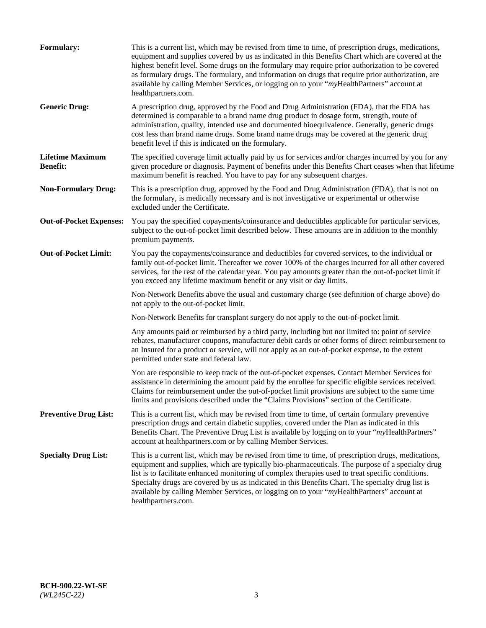| <b>Formulary:</b>                          | This is a current list, which may be revised from time to time, of prescription drugs, medications,<br>equipment and supplies covered by us as indicated in this Benefits Chart which are covered at the<br>highest benefit level. Some drugs on the formulary may require prior authorization to be covered<br>as formulary drugs. The formulary, and information on drugs that require prior authorization, are<br>available by calling Member Services, or logging on to your "myHealthPartners" account at<br>healthpartners.com. |
|--------------------------------------------|---------------------------------------------------------------------------------------------------------------------------------------------------------------------------------------------------------------------------------------------------------------------------------------------------------------------------------------------------------------------------------------------------------------------------------------------------------------------------------------------------------------------------------------|
| <b>Generic Drug:</b>                       | A prescription drug, approved by the Food and Drug Administration (FDA), that the FDA has<br>determined is comparable to a brand name drug product in dosage form, strength, route of<br>administration, quality, intended use and documented bioequivalence. Generally, generic drugs<br>cost less than brand name drugs. Some brand name drugs may be covered at the generic drug<br>benefit level if this is indicated on the formulary.                                                                                           |
| <b>Lifetime Maximum</b><br><b>Benefit:</b> | The specified coverage limit actually paid by us for services and/or charges incurred by you for any<br>given procedure or diagnosis. Payment of benefits under this Benefits Chart ceases when that lifetime<br>maximum benefit is reached. You have to pay for any subsequent charges.                                                                                                                                                                                                                                              |
| <b>Non-Formulary Drug:</b>                 | This is a prescription drug, approved by the Food and Drug Administration (FDA), that is not on<br>the formulary, is medically necessary and is not investigative or experimental or otherwise<br>excluded under the Certificate.                                                                                                                                                                                                                                                                                                     |
| <b>Out-of-Pocket Expenses:</b>             | You pay the specified copayments/coinsurance and deductibles applicable for particular services,<br>subject to the out-of-pocket limit described below. These amounts are in addition to the monthly<br>premium payments.                                                                                                                                                                                                                                                                                                             |
| <b>Out-of-Pocket Limit:</b>                | You pay the copayments/coinsurance and deductibles for covered services, to the individual or<br>family out-of-pocket limit. Thereafter we cover 100% of the charges incurred for all other covered<br>services, for the rest of the calendar year. You pay amounts greater than the out-of-pocket limit if<br>you exceed any lifetime maximum benefit or any visit or day limits.                                                                                                                                                    |
|                                            | Non-Network Benefits above the usual and customary charge (see definition of charge above) do<br>not apply to the out-of-pocket limit.                                                                                                                                                                                                                                                                                                                                                                                                |
|                                            | Non-Network Benefits for transplant surgery do not apply to the out-of-pocket limit.                                                                                                                                                                                                                                                                                                                                                                                                                                                  |
|                                            | Any amounts paid or reimbursed by a third party, including but not limited to: point of service<br>rebates, manufacturer coupons, manufacturer debit cards or other forms of direct reimbursement to<br>an Insured for a product or service, will not apply as an out-of-pocket expense, to the extent<br>permitted under state and federal law.                                                                                                                                                                                      |
|                                            | You are responsible to keep track of the out-of-pocket expenses. Contact Member Services for<br>assistance in determining the amount paid by the enrollee for specific eligible services received.<br>Claims for reimbursement under the out-of-pocket limit provisions are subject to the same time<br>limits and provisions described under the "Claims Provisions" section of the Certificate.                                                                                                                                     |
| <b>Preventive Drug List:</b>               | This is a current list, which may be revised from time to time, of certain formulary preventive<br>prescription drugs and certain diabetic supplies, covered under the Plan as indicated in this<br>Benefits Chart. The Preventive Drug List is available by logging on to your "myHealthPartners"<br>account at healthpartners.com or by calling Member Services.                                                                                                                                                                    |
| <b>Specialty Drug List:</b>                | This is a current list, which may be revised from time to time, of prescription drugs, medications,<br>equipment and supplies, which are typically bio-pharmaceuticals. The purpose of a specialty drug<br>list is to facilitate enhanced monitoring of complex therapies used to treat specific conditions.<br>Specialty drugs are covered by us as indicated in this Benefits Chart. The specialty drug list is<br>available by calling Member Services, or logging on to your "myHealthPartners" account at<br>healthpartners.com. |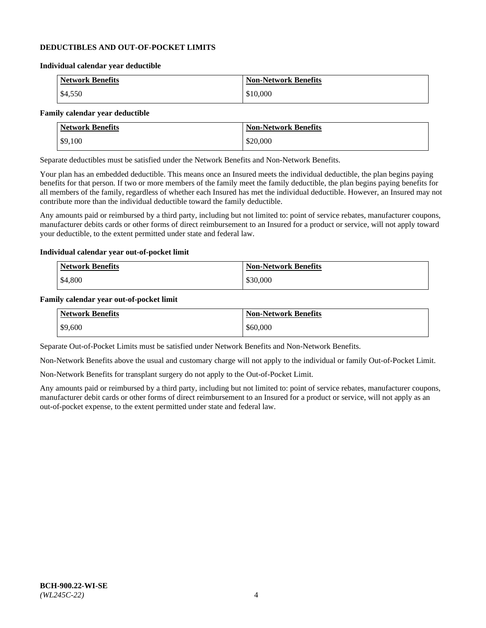#### **DEDUCTIBLES AND OUT-OF-POCKET LIMITS**

#### **Individual calendar year deductible**

| <b>Network Benefits</b> | <b>Non-Network Benefits</b> |
|-------------------------|-----------------------------|
| \$4,550                 | \$10,000                    |

#### **Family calendar year deductible**

| <b>Network Benefits</b> | <b>Non-Network Benefits</b> |
|-------------------------|-----------------------------|
| \$9,100                 | \$20,000                    |

Separate deductibles must be satisfied under the Network Benefits and Non-Network Benefits.

Your plan has an embedded deductible. This means once an Insured meets the individual deductible, the plan begins paying benefits for that person. If two or more members of the family meet the family deductible, the plan begins paying benefits for all members of the family, regardless of whether each Insured has met the individual deductible. However, an Insured may not contribute more than the individual deductible toward the family deductible.

Any amounts paid or reimbursed by a third party, including but not limited to: point of service rebates, manufacturer coupons, manufacturer debits cards or other forms of direct reimbursement to an Insured for a product or service, will not apply toward your deductible, to the extent permitted under state and federal law.

#### **Individual calendar year out-of-pocket limit**

| Network Benefits | <b>Non-Network Benefits</b> |
|------------------|-----------------------------|
| \$4,800          | \$30,000                    |

#### **Family calendar year out-of-pocket limit**

| <b>Network Benefits</b> | <b>Non-Network Benefits</b> |
|-------------------------|-----------------------------|
| $\frac{1}{2}$ \$9,600   | \$60,000                    |

Separate Out-of-Pocket Limits must be satisfied under Network Benefits and Non-Network Benefits.

Non-Network Benefits above the usual and customary charge will not apply to the individual or family Out-of-Pocket Limit.

Non-Network Benefits for transplant surgery do not apply to the Out-of-Pocket Limit.

Any amounts paid or reimbursed by a third party, including but not limited to: point of service rebates, manufacturer coupons, manufacturer debit cards or other forms of direct reimbursement to an Insured for a product or service, will not apply as an out-of-pocket expense, to the extent permitted under state and federal law.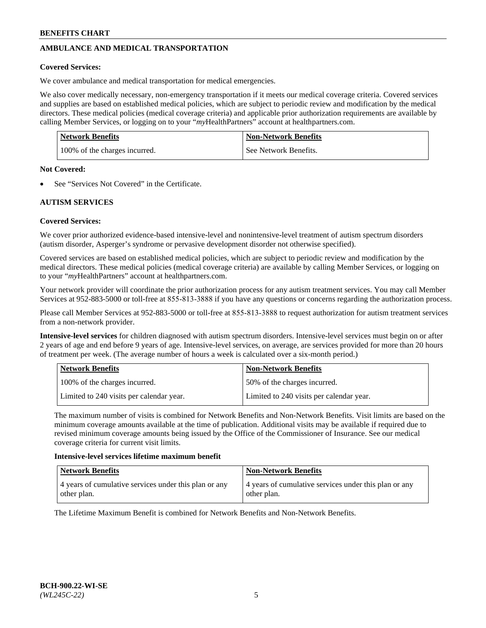# **AMBULANCE AND MEDICAL TRANSPORTATION**

#### **Covered Services:**

We cover ambulance and medical transportation for medical emergencies.

We also cover medically necessary, non-emergency transportation if it meets our medical coverage criteria. Covered services and supplies are based on established medical policies, which are subject to periodic review and modification by the medical directors. These medical policies (medical coverage criteria) and applicable prior authorization requirements are available by calling Member Services, or logging on to your "*my*HealthPartners" account a[t healthpartners.com.](https://www.healthpartners.com/hp/index.html)

| Network Benefits              | <b>Non-Network Benefits</b> |
|-------------------------------|-----------------------------|
| 100% of the charges incurred. | See Network Benefits.       |

#### **Not Covered:**

See "Services Not Covered" in the Certificate.

## **AUTISM SERVICES**

## **Covered Services:**

We cover prior authorized evidence-based intensive-level and nonintensive-level treatment of autism spectrum disorders (autism disorder, Asperger's syndrome or pervasive development disorder not otherwise specified).

Covered services are based on established medical policies, which are subject to periodic review and modification by the medical directors. These medical policies (medical coverage criteria) are available by calling Member Services, or logging on to your "*my*HealthPartners" account at [healthpartners.com.](https://www.healthpartners.com/hp/index.html)

Your network provider will coordinate the prior authorization process for any autism treatment services. You may call Member Services at 952-883-5000 or toll-free at 855-813-3888 if you have any questions or concerns regarding the authorization process.

Please call Member Services at 952-883-5000 or toll-free at 855-813-3888 to request authorization for autism treatment services from a non-network provider.

**Intensive-level services** for children diagnosed with autism spectrum disorders. Intensive-level services must begin on or after 2 years of age and end before 9 years of age. Intensive-level services, on average, are services provided for more than 20 hours of treatment per week. (The average number of hours a week is calculated over a six-month period.)

| Network Benefits                         | <b>Non-Network Benefits</b>              |
|------------------------------------------|------------------------------------------|
| 100% of the charges incurred.            | 50% of the charges incurred.             |
| Limited to 240 visits per calendar year. | Limited to 240 visits per calendar year. |

The maximum number of visits is combined for Network Benefits and Non-Network Benefits. Visit limits are based on the minimum coverage amounts available at the time of publication. Additional visits may be available if required due to revised minimum coverage amounts being issued by the Office of the Commissioner of Insurance. See our medical coverage criteria for current visit limits.

#### **Intensive-level services lifetime maximum benefit**

| <b>Network Benefits</b>                               | <b>Non-Network Benefits</b>                           |
|-------------------------------------------------------|-------------------------------------------------------|
| 4 years of cumulative services under this plan or any | 4 years of cumulative services under this plan or any |
| other plan.                                           | other plan.                                           |

The Lifetime Maximum Benefit is combined for Network Benefits and Non-Network Benefits.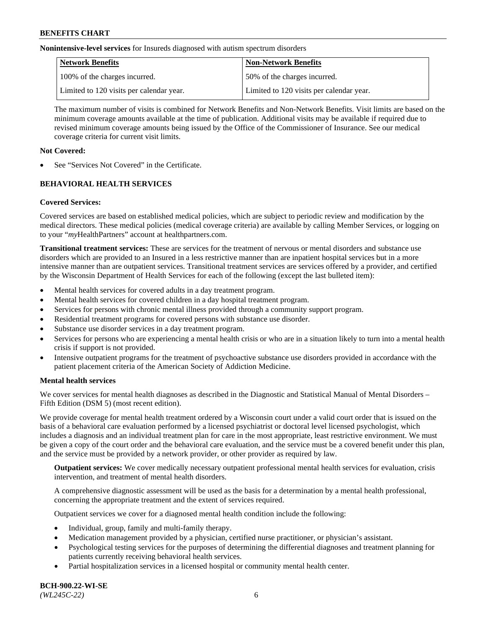**Nonintensive-level services** for Insureds diagnosed with autism spectrum disorders

| Network Benefits                         | <b>Non-Network Benefits</b>              |
|------------------------------------------|------------------------------------------|
| 100% of the charges incurred.            | 50% of the charges incurred.             |
| Limited to 120 visits per calendar year. | Limited to 120 visits per calendar year. |

The maximum number of visits is combined for Network Benefits and Non-Network Benefits. Visit limits are based on the minimum coverage amounts available at the time of publication. Additional visits may be available if required due to revised minimum coverage amounts being issued by the Office of the Commissioner of Insurance. See our medical coverage criteria for current visit limits.

## **Not Covered:**

See "Services Not Covered" in the Certificate.

# **BEHAVIORAL HEALTH SERVICES**

## **Covered Services:**

Covered services are based on established medical policies, which are subject to periodic review and modification by the medical directors. These medical policies (medical coverage criteria) are available by calling Member Services, or logging on to your "*my*HealthPartners" account at [healthpartners.com.](https://www.healthpartners.com/hp/index.html)

**Transitional treatment services:** These are services for the treatment of nervous or mental disorders and substance use disorders which are provided to an Insured in a less restrictive manner than are inpatient hospital services but in a more intensive manner than are outpatient services. Transitional treatment services are services offered by a provider, and certified by the Wisconsin Department of Health Services for each of the following (except the last bulleted item):

- Mental health services for covered adults in a day treatment program.
- Mental health services for covered children in a day hospital treatment program.
- Services for persons with chronic mental illness provided through a community support program.
- Residential treatment programs for covered persons with substance use disorder.
- Substance use disorder services in a day treatment program.
- Services for persons who are experiencing a mental health crisis or who are in a situation likely to turn into a mental health crisis if support is not provided.
- Intensive outpatient programs for the treatment of psychoactive substance use disorders provided in accordance with the patient placement criteria of the American Society of Addiction Medicine.

## **Mental health services**

We cover services for mental health diagnoses as described in the Diagnostic and Statistical Manual of Mental Disorders – Fifth Edition (DSM 5) (most recent edition).

We provide coverage for mental health treatment ordered by a Wisconsin court under a valid court order that is issued on the basis of a behavioral care evaluation performed by a licensed psychiatrist or doctoral level licensed psychologist, which includes a diagnosis and an individual treatment plan for care in the most appropriate, least restrictive environment. We must be given a copy of the court order and the behavioral care evaluation, and the service must be a covered benefit under this plan, and the service must be provided by a network provider, or other provider as required by law.

**Outpatient services:** We cover medically necessary outpatient professional mental health services for evaluation, crisis intervention, and treatment of mental health disorders.

A comprehensive diagnostic assessment will be used as the basis for a determination by a mental health professional, concerning the appropriate treatment and the extent of services required.

Outpatient services we cover for a diagnosed mental health condition include the following:

- Individual, group, family and multi-family therapy.
- Medication management provided by a physician, certified nurse practitioner, or physician's assistant.
- Psychological testing services for the purposes of determining the differential diagnoses and treatment planning for patients currently receiving behavioral health services.
- Partial hospitalization services in a licensed hospital or community mental health center.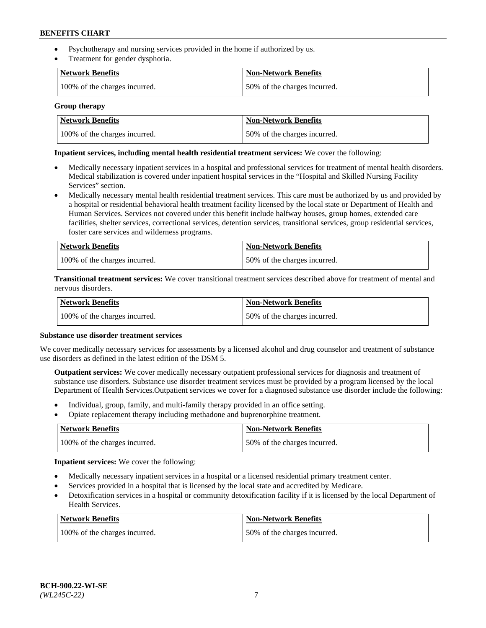- Psychotherapy and nursing services provided in the home if authorized by us.
- Treatment for gender dysphoria.

| Network Benefits              | <b>Non-Network Benefits</b>  |
|-------------------------------|------------------------------|
| 100% of the charges incurred. | 50% of the charges incurred. |

#### **Group therapy**

| Network Benefits              | Non-Network Benefits         |
|-------------------------------|------------------------------|
| 100% of the charges incurred. | 50% of the charges incurred. |

#### **Inpatient services, including mental health residential treatment services:** We cover the following:

- Medically necessary inpatient services in a hospital and professional services for treatment of mental health disorders. Medical stabilization is covered under inpatient hospital services in the "Hospital and Skilled Nursing Facility Services" section.
- Medically necessary mental health residential treatment services. This care must be authorized by us and provided by a hospital or residential behavioral health treatment facility licensed by the local state or Department of Health and Human Services. Services not covered under this benefit include halfway houses, group homes, extended care facilities, shelter services, correctional services, detention services, transitional services, group residential services, foster care services and wilderness programs.

| Network Benefits              | <b>Non-Network Benefits</b>  |
|-------------------------------|------------------------------|
| 100% of the charges incurred. | 50% of the charges incurred. |

**Transitional treatment services:** We cover transitional treatment services described above for treatment of mental and nervous disorders.

| Network Benefits              | Non-Network Benefits         |
|-------------------------------|------------------------------|
| 100% of the charges incurred. | 50% of the charges incurred. |

#### **Substance use disorder treatment services**

We cover medically necessary services for assessments by a licensed alcohol and drug counselor and treatment of substance use disorders as defined in the latest edition of the DSM 5.

**Outpatient services:** We cover medically necessary outpatient professional services for diagnosis and treatment of substance use disorders. Substance use disorder treatment services must be provided by a program licensed by the local Department of Health Services.Outpatient services we cover for a diagnosed substance use disorder include the following:

- Individual, group, family, and multi-family therapy provided in an office setting.
- Opiate replacement therapy including methadone and buprenorphine treatment.

| Network Benefits              | <b>Non-Network Benefits</b>  |
|-------------------------------|------------------------------|
| 100% of the charges incurred. | 50% of the charges incurred. |

**Inpatient services:** We cover the following:

- Medically necessary inpatient services in a hospital or a licensed residential primary treatment center.
- Services provided in a hospital that is licensed by the local state and accredited by Medicare.
- Detoxification services in a hospital or community detoxification facility if it is licensed by the local Department of Health Services.

| Network Benefits              | <b>Non-Network Benefits</b>  |
|-------------------------------|------------------------------|
| 100% of the charges incurred. | 50% of the charges incurred. |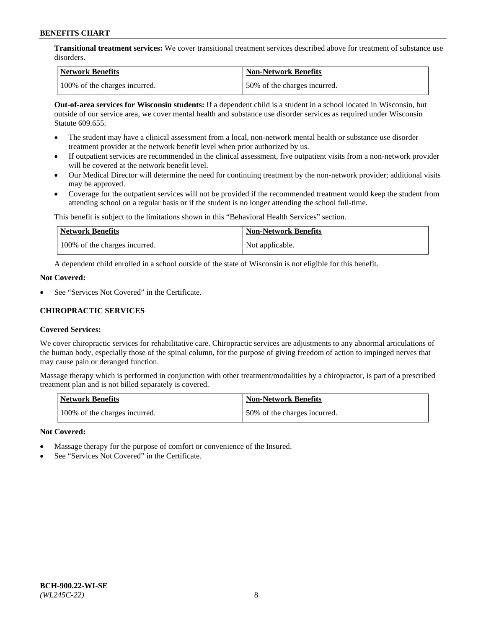**Transitional treatment services:** We cover transitional treatment services described above for treatment of substance use disorders.

| Network Benefits              | Non-Network Benefits         |
|-------------------------------|------------------------------|
| 100% of the charges incurred. | 50% of the charges incurred. |

**Out-of-area services for Wisconsin students:** If a dependent child is a student in a school located in Wisconsin, but outside of our service area, we cover mental health and substance use disorder services as required under Wisconsin Statute 609.655.

- The student may have a clinical assessment from a local, non-network mental health or substance use disorder treatment provider at the network benefit level when prior authorized by us.
- If outpatient services are recommended in the clinical assessment, five outpatient visits from a non-network provider will be covered at the network benefit level.
- Our Medical Director will determine the need for continuing treatment by the non-network provider; additional visits may be approved.
- Coverage for the outpatient services will not be provided if the recommended treatment would keep the student from attending school on a regular basis or if the student is no longer attending the school full-time.

This benefit is subject to the limitations shown in this "Behavioral Health Services" section.

| Network Benefits              | <b>Non-Network Benefits</b> |
|-------------------------------|-----------------------------|
| 100% of the charges incurred. | Not applicable.             |

A dependent child enrolled in a school outside of the state of Wisconsin is not eligible for this benefit.

#### **Not Covered:**

See "Services Not Covered" in the Certificate.

## **CHIROPRACTIC SERVICES**

## **Covered Services:**

We cover chiropractic services for rehabilitative care. Chiropractic services are adjustments to any abnormal articulations of the human body, especially those of the spinal column, for the purpose of giving freedom of action to impinged nerves that may cause pain or deranged function.

Massage therapy which is performed in conjunction with other treatment/modalities by a chiropractor, is part of a prescribed treatment plan and is not billed separately is covered.

| <b>Network Benefits</b>       | <b>Non-Network Benefits</b>  |
|-------------------------------|------------------------------|
| 100% of the charges incurred. | 50% of the charges incurred. |

#### **Not Covered:**

- Massage therapy for the purpose of comfort or convenience of the Insured.
- See "Services Not Covered" in the Certificate.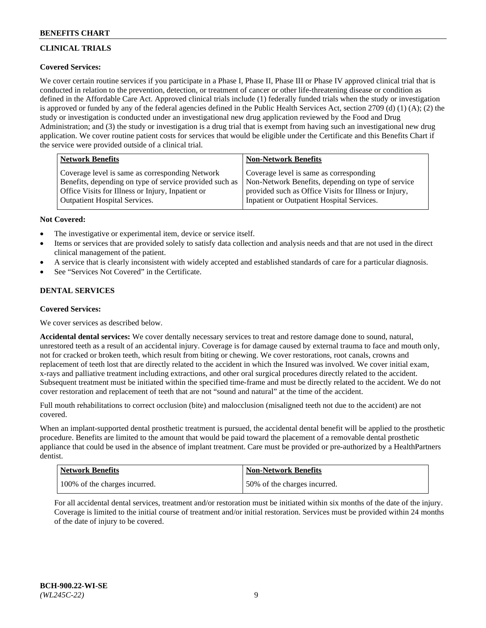# **CLINICAL TRIALS**

## **Covered Services:**

We cover certain routine services if you participate in a Phase I, Phase II, Phase III or Phase IV approved clinical trial that is conducted in relation to the prevention, detection, or treatment of cancer or other life-threatening disease or condition as defined in the Affordable Care Act. Approved clinical trials include (1) federally funded trials when the study or investigation is approved or funded by any of the federal agencies defined in the Public Health Services Act, section 2709 (d) (1) (A); (2) the study or investigation is conducted under an investigational new drug application reviewed by the Food and Drug Administration; and (3) the study or investigation is a drug trial that is exempt from having such an investigational new drug application. We cover routine patient costs for services that would be eligible under the Certificate and this Benefits Chart if the service were provided outside of a clinical trial.

| <b>Network Benefits</b>                                                                                                                                         | <b>Non-Network Benefits</b>                                                                                                                            |
|-----------------------------------------------------------------------------------------------------------------------------------------------------------------|--------------------------------------------------------------------------------------------------------------------------------------------------------|
| Coverage level is same as corresponding Network<br>Benefits, depending on type of service provided such as<br>Office Visits for Illness or Injury, Inpatient or | Coverage level is same as corresponding<br>Non-Network Benefits, depending on type of service<br>provided such as Office Visits for Illness or Injury, |
| <b>Outpatient Hospital Services.</b>                                                                                                                            | Inpatient or Outpatient Hospital Services.                                                                                                             |

#### **Not Covered:**

- The investigative or experimental item, device or service itself.
- Items or services that are provided solely to satisfy data collection and analysis needs and that are not used in the direct clinical management of the patient.
- A service that is clearly inconsistent with widely accepted and established standards of care for a particular diagnosis.
- See "Services Not Covered" in the Certificate.

## **DENTAL SERVICES**

## **Covered Services:**

We cover services as described below.

**Accidental dental services:** We cover dentally necessary services to treat and restore damage done to sound, natural, unrestored teeth as a result of an accidental injury. Coverage is for damage caused by external trauma to face and mouth only, not for cracked or broken teeth, which result from biting or chewing. We cover restorations, root canals, crowns and replacement of teeth lost that are directly related to the accident in which the Insured was involved. We cover initial exam, x-rays and palliative treatment including extractions, and other oral surgical procedures directly related to the accident. Subsequent treatment must be initiated within the specified time-frame and must be directly related to the accident. We do not cover restoration and replacement of teeth that are not "sound and natural" at the time of the accident.

Full mouth rehabilitations to correct occlusion (bite) and malocclusion (misaligned teeth not due to the accident) are not covered.

When an implant-supported dental prosthetic treatment is pursued, the accidental dental benefit will be applied to the prosthetic procedure. Benefits are limited to the amount that would be paid toward the placement of a removable dental prosthetic appliance that could be used in the absence of implant treatment. Care must be provided or pre-authorized by a HealthPartners dentist.

| <b>Network Benefits</b>       | Non-Network Benefits         |
|-------------------------------|------------------------------|
| 100% of the charges incurred. | 50% of the charges incurred. |

For all accidental dental services, treatment and/or restoration must be initiated within six months of the date of the injury. Coverage is limited to the initial course of treatment and/or initial restoration. Services must be provided within 24 months of the date of injury to be covered.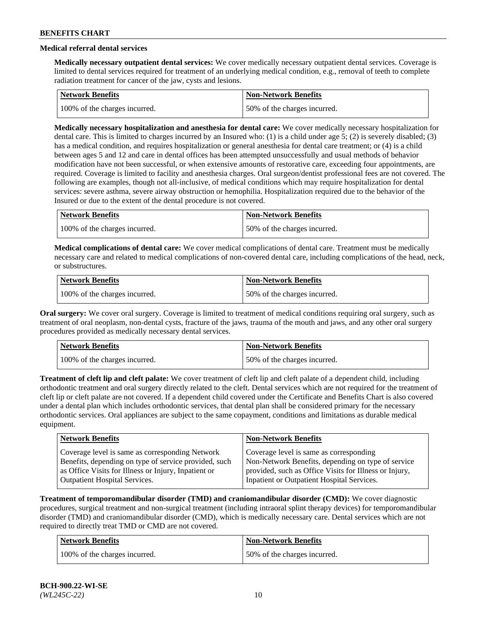## **Medical referral dental services**

**Medically necessary outpatient dental services:** We cover medically necessary outpatient dental services. Coverage is limited to dental services required for treatment of an underlying medical condition, e.g., removal of teeth to complete radiation treatment for cancer of the jaw, cysts and lesions.

| Network Benefits              | <b>Non-Network Benefits</b>  |
|-------------------------------|------------------------------|
| 100% of the charges incurred. | 50% of the charges incurred. |

**Medically necessary hospitalization and anesthesia for dental care:** We cover medically necessary hospitalization for dental care. This is limited to charges incurred by an Insured who: (1) is a child under age 5; (2) is severely disabled; (3) has a medical condition, and requires hospitalization or general anesthesia for dental care treatment; or (4) is a child between ages 5 and 12 and care in dental offices has been attempted unsuccessfully and usual methods of behavior modification have not been successful, or when extensive amounts of restorative care, exceeding four appointments, are required. Coverage is limited to facility and anesthesia charges. Oral surgeon/dentist professional fees are not covered. The following are examples, though not all-inclusive, of medical conditions which may require hospitalization for dental services: severe asthma, severe airway obstruction or hemophilia. Hospitalization required due to the behavior of the Insured or due to the extent of the dental procedure is not covered.

| Network Benefits              | <b>Non-Network Benefits</b>  |
|-------------------------------|------------------------------|
| 100% of the charges incurred. | 50% of the charges incurred. |

**Medical complications of dental care:** We cover medical complications of dental care. Treatment must be medically necessary care and related to medical complications of non-covered dental care, including complications of the head, neck, or substructures.

| Network Benefits              | Non-Network Benefits         |
|-------------------------------|------------------------------|
| 100% of the charges incurred. | 50% of the charges incurred. |

**Oral surgery:** We cover oral surgery. Coverage is limited to treatment of medical conditions requiring oral surgery, such as treatment of oral neoplasm, non-dental cysts, fracture of the jaws, trauma of the mouth and jaws, and any other oral surgery procedures provided as medically necessary dental services.

| Network Benefits              | <b>Non-Network Benefits</b>  |
|-------------------------------|------------------------------|
| 100% of the charges incurred. | 50% of the charges incurred. |

**Treatment of cleft lip and cleft palate:** We cover treatment of cleft lip and cleft palate of a dependent child, including orthodontic treatment and oral surgery directly related to the cleft. Dental services which are not required for the treatment of cleft lip or cleft palate are not covered. If a dependent child covered under the Certificate and Benefits Chart is also covered under a dental plan which includes orthodontic services, that dental plan shall be considered primary for the necessary orthodontic services. Oral appliances are subject to the same copayment, conditions and limitations as durable medical equipment.

| <b>Network Benefits</b>                               | <b>Non-Network Benefits</b>                            |
|-------------------------------------------------------|--------------------------------------------------------|
| Coverage level is same as corresponding Network       | Coverage level is same as corresponding                |
| Benefits, depending on type of service provided, such | Non-Network Benefits, depending on type of service     |
| as Office Visits for Illness or Injury, Inpatient or  | provided, such as Office Visits for Illness or Injury, |
| <b>Outpatient Hospital Services.</b>                  | Inpatient or Outpatient Hospital Services.             |

**Treatment of temporomandibular disorder (TMD) and craniomandibular disorder (CMD):** We cover diagnostic procedures, surgical treatment and non-surgical treatment (including intraoral splint therapy devices) for temporomandibular disorder (TMD) and craniomandibular disorder (CMD), which is medically necessary care. Dental services which are not required to directly treat TMD or CMD are not covered.

| <b>Network Benefits</b>       | <b>Non-Network Benefits</b>  |
|-------------------------------|------------------------------|
| 100% of the charges incurred. | 50% of the charges incurred. |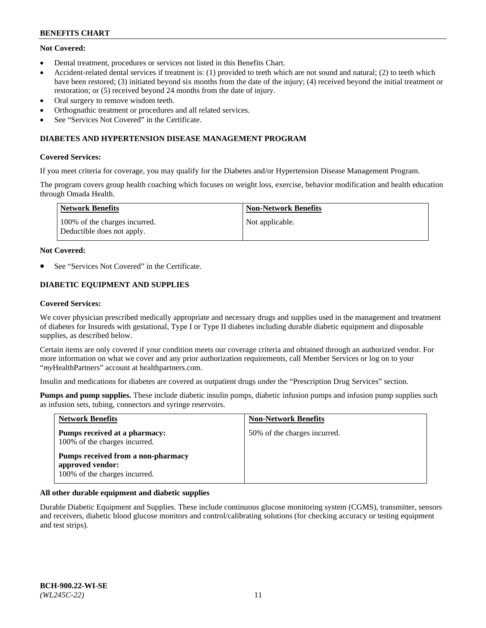## **Not Covered:**

- Dental treatment, procedures or services not listed in this Benefits Chart.
- Accident-related dental services if treatment is: (1) provided to teeth which are not sound and natural; (2) to teeth which have been restored; (3) initiated beyond six months from the date of the injury; (4) received beyond the initial treatment or restoration; or (5) received beyond 24 months from the date of injury.
- Oral surgery to remove wisdom teeth.
- Orthognathic treatment or procedures and all related services.
- See "Services Not Covered" in the Certificate.

#### **DIABETES AND HYPERTENSION DISEASE MANAGEMENT PROGRAM**

#### **Covered Services:**

If you meet criteria for coverage, you may qualify for the Diabetes and/or Hypertension Disease Management Program.

The program covers group health coaching which focuses on weight loss, exercise, behavior modification and health education through Omada Health.

| <b>Network Benefits</b>                                     | <b>Non-Network Benefits</b> |
|-------------------------------------------------------------|-----------------------------|
| 100% of the charges incurred.<br>Deductible does not apply. | Not applicable.             |

#### **Not Covered:**

See "Services Not Covered" in the Certificate.

## **DIABETIC EQUIPMENT AND SUPPLIES**

#### **Covered Services:**

We cover physician prescribed medically appropriate and necessary drugs and supplies used in the management and treatment of diabetes for Insureds with gestational, Type I or Type II diabetes including durable diabetic equipment and disposable supplies, as described below.

Certain items are only covered if your condition meets our coverage criteria and obtained through an authorized vendor. For more information on what we cover and any prior authorization requirements, call Member Services or log on to your "*my*HealthPartners" account at [healthpartners.com.](http://www.healthpartners.com/)

Insulin and medications for diabetes are covered as outpatient drugs under the "Prescription Drug Services" section.

**Pumps and pump supplies.** These include diabetic insulin pumps, diabetic infusion pumps and infusion pump supplies such as infusion sets, tubing, connectors and syringe reservoirs.

| <b>Network Benefits</b>                                                                 | <b>Non-Network Benefits</b>  |
|-----------------------------------------------------------------------------------------|------------------------------|
| <b>Pumps received at a pharmacy:</b><br>100% of the charges incurred.                   | 50% of the charges incurred. |
| Pumps received from a non-pharmacy<br>approved vendor:<br>100% of the charges incurred. |                              |

## **All other durable equipment and diabetic supplies**

Durable Diabetic Equipment and Supplies. These include continuous glucose monitoring system (CGMS), transmitter, sensors and receivers, diabetic blood glucose monitors and control/calibrating solutions (for checking accuracy or testing equipment and test strips).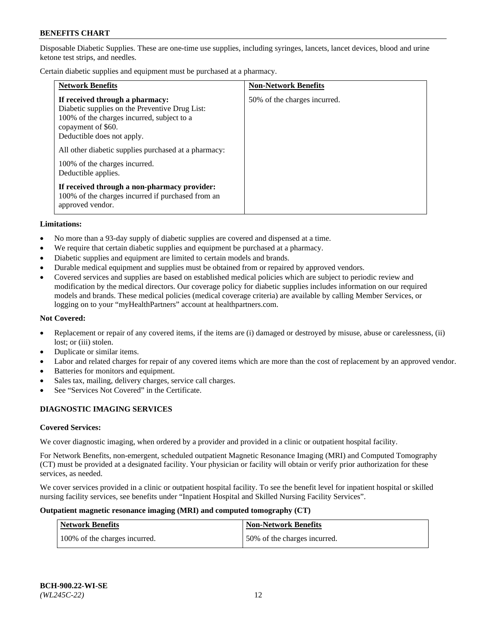Disposable Diabetic Supplies. These are one-time use supplies, including syringes, lancets, lancet devices, blood and urine ketone test strips, and needles.

Certain diabetic supplies and equipment must be purchased at a pharmacy.

| <b>Network Benefits</b>                                                                                                                                                                                                                                                                             | <b>Non-Network Benefits</b>  |
|-----------------------------------------------------------------------------------------------------------------------------------------------------------------------------------------------------------------------------------------------------------------------------------------------------|------------------------------|
| If received through a pharmacy:<br>Diabetic supplies on the Preventive Drug List:<br>100% of the charges incurred, subject to a<br>copayment of \$60.<br>Deductible does not apply.<br>All other diabetic supplies purchased at a pharmacy:<br>100% of the charges incurred.<br>Deductible applies. | 50% of the charges incurred. |
| If received through a non-pharmacy provider:<br>100% of the charges incurred if purchased from an<br>approved vendor.                                                                                                                                                                               |                              |

#### **Limitations:**

- No more than a 93-day supply of diabetic supplies are covered and dispensed at a time.
- We require that certain diabetic supplies and equipment be purchased at a pharmacy.
- Diabetic supplies and equipment are limited to certain models and brands.
- Durable medical equipment and supplies must be obtained from or repaired by approved vendors.
- Covered services and supplies are based on established medical policies which are subject to periodic review and modification by the medical directors. Our coverage policy for diabetic supplies includes information on our required models and brands. These medical policies (medical coverage criteria) are available by calling Member Services, or logging on to your "myHealthPartners" account at [healthpartners.com.](http://www.healthpartners.com/)

#### **Not Covered:**

- Replacement or repair of any covered items, if the items are (i) damaged or destroyed by misuse, abuse or carelessness, (ii) lost; or (iii) stolen.
- Duplicate or similar items.
- Labor and related charges for repair of any covered items which are more than the cost of replacement by an approved vendor.
- Batteries for monitors and equipment.
- Sales tax, mailing, delivery charges, service call charges.
- See "Services Not Covered" in the Certificate.

## **DIAGNOSTIC IMAGING SERVICES**

#### **Covered Services:**

We cover diagnostic imaging, when ordered by a provider and provided in a clinic or outpatient hospital facility.

For Network Benefits, non-emergent, scheduled outpatient Magnetic Resonance Imaging (MRI) and Computed Tomography (CT) must be provided at a designated facility. Your physician or facility will obtain or verify prior authorization for these services, as needed.

We cover services provided in a clinic or outpatient hospital facility. To see the benefit level for inpatient hospital or skilled nursing facility services, see benefits under "Inpatient Hospital and Skilled Nursing Facility Services".

#### **Outpatient magnetic resonance imaging (MRI) and computed tomography (CT)**

| <b>Network Benefits</b>       | <b>Non-Network Benefits</b>  |
|-------------------------------|------------------------------|
| 100% of the charges incurred. | 50% of the charges incurred. |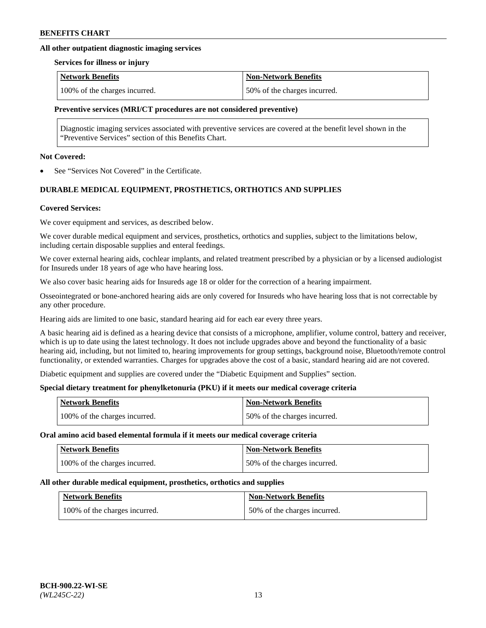## **All other outpatient diagnostic imaging services**

#### **Services for illness or injury**

| <b>Network Benefits</b>       | <b>Non-Network Benefits</b>  |
|-------------------------------|------------------------------|
| 100% of the charges incurred. | 50% of the charges incurred. |

#### **Preventive services (MRI/CT procedures are not considered preventive)**

Diagnostic imaging services associated with preventive services are covered at the benefit level shown in the "Preventive Services" section of this Benefits Chart.

#### **Not Covered:**

See "Services Not Covered" in the Certificate.

## **DURABLE MEDICAL EQUIPMENT, PROSTHETICS, ORTHOTICS AND SUPPLIES**

#### **Covered Services:**

We cover equipment and services, as described below.

We cover durable medical equipment and services, prosthetics, orthotics and supplies, subject to the limitations below, including certain disposable supplies and enteral feedings.

We cover external hearing aids, cochlear implants, and related treatment prescribed by a physician or by a licensed audiologist for Insureds under 18 years of age who have hearing loss.

We also cover basic hearing aids for Insureds age 18 or older for the correction of a hearing impairment.

Osseointegrated or bone-anchored hearing aids are only covered for Insureds who have hearing loss that is not correctable by any other procedure.

Hearing aids are limited to one basic, standard hearing aid for each ear every three years.

A basic hearing aid is defined as a hearing device that consists of a microphone, amplifier, volume control, battery and receiver, which is up to date using the latest technology. It does not include upgrades above and beyond the functionality of a basic hearing aid, including, but not limited to, hearing improvements for group settings, background noise, Bluetooth/remote control functionality, or extended warranties. Charges for upgrades above the cost of a basic, standard hearing aid are not covered.

Diabetic equipment and supplies are covered under the "Diabetic Equipment and Supplies" section.

## **Special dietary treatment for phenylketonuria (PKU) if it meets our medical coverage criteria**

| <b>Network Benefits</b>       | <b>Non-Network Benefits</b>  |
|-------------------------------|------------------------------|
| 100% of the charges incurred. | 50% of the charges incurred. |

#### **Oral amino acid based elemental formula if it meets our medical coverage criteria**

| <b>Network Benefits</b>       | <b>Non-Network Benefits</b>  |
|-------------------------------|------------------------------|
| 100% of the charges incurred. | 50% of the charges incurred. |

#### **All other durable medical equipment, prosthetics, orthotics and supplies**

| <b>Network Benefits</b>       | <b>Non-Network Benefits</b>  |
|-------------------------------|------------------------------|
| 100% of the charges incurred. | 50% of the charges incurred. |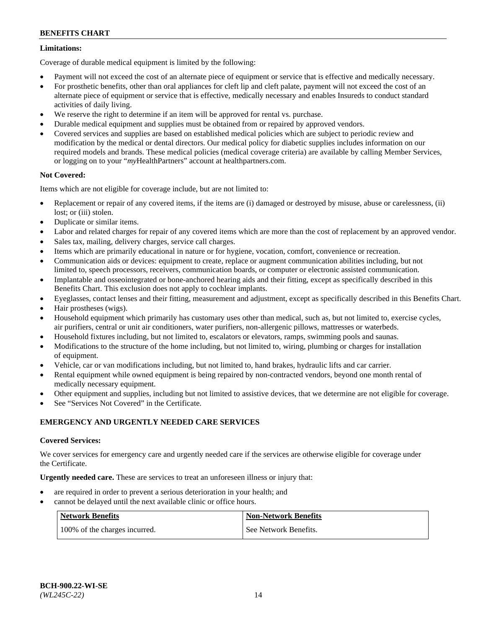## **Limitations:**

Coverage of durable medical equipment is limited by the following:

- Payment will not exceed the cost of an alternate piece of equipment or service that is effective and medically necessary.
- For prosthetic benefits, other than oral appliances for cleft lip and cleft palate, payment will not exceed the cost of an alternate piece of equipment or service that is effective, medically necessary and enables Insureds to conduct standard activities of daily living.
- We reserve the right to determine if an item will be approved for rental vs. purchase.
- Durable medical equipment and supplies must be obtained from or repaired by approved vendors.
- Covered services and supplies are based on established medical policies which are subject to periodic review and modification by the medical or dental directors. Our medical policy for diabetic supplies includes information on our required models and brands. These medical policies (medical coverage criteria) are available by calling Member Services, or logging on to your "*my*HealthPartners" account a[t healthpartners.com.](http://www.healthpartners.com/)

## **Not Covered:**

Items which are not eligible for coverage include, but are not limited to:

- Replacement or repair of any covered items, if the items are (i) damaged or destroyed by misuse, abuse or carelessness, (ii) lost; or (iii) stolen.
- Duplicate or similar items.
- Labor and related charges for repair of any covered items which are more than the cost of replacement by an approved vendor.
- Sales tax, mailing, delivery charges, service call charges.
- Items which are primarily educational in nature or for hygiene, vocation, comfort, convenience or recreation.
- Communication aids or devices: equipment to create, replace or augment communication abilities including, but not limited to, speech processors, receivers, communication boards, or computer or electronic assisted communication.
- Implantable and osseointegrated or bone-anchored hearing aids and their fitting, except as specifically described in this Benefits Chart. This exclusion does not apply to cochlear implants.
- Eyeglasses, contact lenses and their fitting, measurement and adjustment, except as specifically described in this Benefits Chart.
- Hair prostheses (wigs).
- Household equipment which primarily has customary uses other than medical, such as, but not limited to, exercise cycles, air purifiers, central or unit air conditioners, water purifiers, non-allergenic pillows, mattresses or waterbeds.
- Household fixtures including, but not limited to, escalators or elevators, ramps, swimming pools and saunas.
- Modifications to the structure of the home including, but not limited to, wiring, plumbing or charges for installation of equipment.
- Vehicle, car or van modifications including, but not limited to, hand brakes, hydraulic lifts and car carrier.
- Rental equipment while owned equipment is being repaired by non-contracted vendors, beyond one month rental of medically necessary equipment.
- Other equipment and supplies, including but not limited to assistive devices, that we determine are not eligible for coverage.
- See "Services Not Covered" in the Certificate.

## **EMERGENCY AND URGENTLY NEEDED CARE SERVICES**

## **Covered Services:**

We cover services for emergency care and urgently needed care if the services are otherwise eligible for coverage under the Certificate.

**Urgently needed care.** These are services to treat an unforeseen illness or injury that:

- are required in order to prevent a serious deterioration in your health; and
- cannot be delayed until the next available clinic or office hours.

| <b>Network Benefits</b>       | <b>Non-Network Benefits</b> |
|-------------------------------|-----------------------------|
| 100% of the charges incurred. | See Network Benefits.       |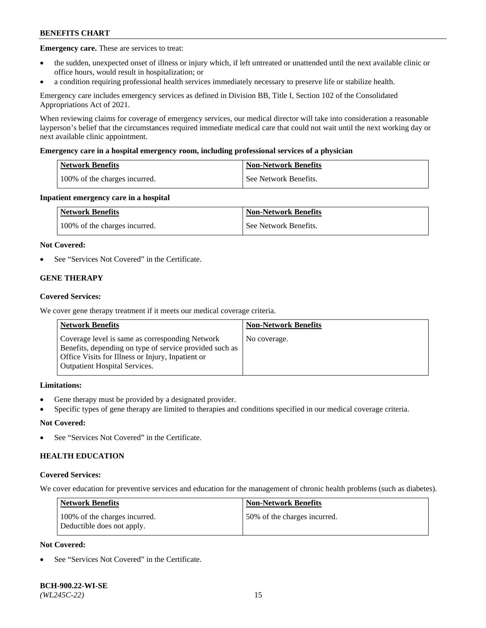**Emergency care.** These are services to treat:

- the sudden, unexpected onset of illness or injury which, if left untreated or unattended until the next available clinic or office hours, would result in hospitalization; or
- a condition requiring professional health services immediately necessary to preserve life or stabilize health.

Emergency care includes emergency services as defined in Division BB, Title I, Section 102 of the Consolidated Appropriations Act of 2021.

When reviewing claims for coverage of emergency services, our medical director will take into consideration a reasonable layperson's belief that the circumstances required immediate medical care that could not wait until the next working day or next available clinic appointment.

#### **Emergency care in a hospital emergency room, including professional services of a physician**

| <b>Network Benefits</b>       | <b>Non-Network Benefits</b> |
|-------------------------------|-----------------------------|
| 100% of the charges incurred. | See Network Benefits.       |

#### **Inpatient emergency care in a hospital**

| <b>Network Benefits</b>       | <b>Non-Network Benefits</b> |
|-------------------------------|-----------------------------|
| 100% of the charges incurred. | See Network Benefits.       |

#### **Not Covered:**

See "Services Not Covered" in the Certificate.

## **GENE THERAPY**

#### **Covered Services:**

We cover gene therapy treatment if it meets our medical coverage criteria.

| <b>Network Benefits</b>                                                                                                                                                                                 | <b>Non-Network Benefits</b> |
|---------------------------------------------------------------------------------------------------------------------------------------------------------------------------------------------------------|-----------------------------|
| Coverage level is same as corresponding Network<br>Benefits, depending on type of service provided such as<br>Office Visits for Illness or Injury, Inpatient or<br><b>Outpatient Hospital Services.</b> | No coverage.                |

## **Limitations:**

- Gene therapy must be provided by a designated provider.
- Specific types of gene therapy are limited to therapies and conditions specified in our medical coverage criteria.

## **Not Covered:**

See "Services Not Covered" in the Certificate.

## **HEALTH EDUCATION**

#### **Covered Services:**

We cover education for preventive services and education for the management of chronic health problems (such as diabetes).

| <b>Network Benefits</b>                                     | <b>Non-Network Benefits</b>  |
|-------------------------------------------------------------|------------------------------|
| 100% of the charges incurred.<br>Deductible does not apply. | 50% of the charges incurred. |

## **Not Covered:**

See "Services Not Covered" in the Certificate.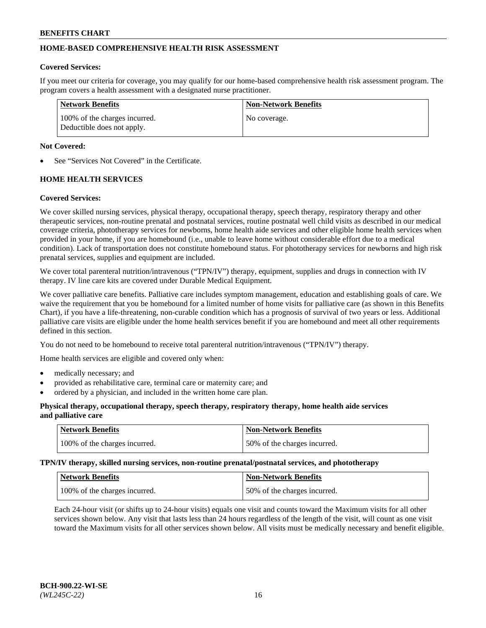## **HOME-BASED COMPREHENSIVE HEALTH RISK ASSESSMENT**

#### **Covered Services:**

If you meet our criteria for coverage, you may qualify for our home-based comprehensive health risk assessment program. The program covers a health assessment with a designated nurse practitioner.

| Network Benefits                                            | <b>Non-Network Benefits</b> |
|-------------------------------------------------------------|-----------------------------|
| 100% of the charges incurred.<br>Deductible does not apply. | No coverage.                |

#### **Not Covered:**

See "Services Not Covered" in the Certificate.

## **HOME HEALTH SERVICES**

#### **Covered Services:**

We cover skilled nursing services, physical therapy, occupational therapy, speech therapy, respiratory therapy and other therapeutic services, non-routine prenatal and postnatal services, routine postnatal well child visits as described in our medical coverage criteria, phototherapy services for newborns, home health aide services and other eligible home health services when provided in your home, if you are homebound (i.e., unable to leave home without considerable effort due to a medical condition). Lack of transportation does not constitute homebound status. For phototherapy services for newborns and high risk prenatal services, supplies and equipment are included.

We cover total parenteral nutrition/intravenous ("TPN/IV") therapy, equipment, supplies and drugs in connection with IV therapy. IV line care kits are covered under Durable Medical Equipment.

We cover palliative care benefits. Palliative care includes symptom management, education and establishing goals of care. We waive the requirement that you be homebound for a limited number of home visits for palliative care (as shown in this Benefits Chart), if you have a life-threatening, non-curable condition which has a prognosis of survival of two years or less. Additional palliative care visits are eligible under the home health services benefit if you are homebound and meet all other requirements defined in this section.

You do not need to be homebound to receive total parenteral nutrition/intravenous ("TPN/IV") therapy.

Home health services are eligible and covered only when:

- medically necessary; and
- provided as rehabilitative care, terminal care or maternity care; and
- ordered by a physician, and included in the written home care plan.

#### **Physical therapy, occupational therapy, speech therapy, respiratory therapy, home health aide services and palliative care**

| Network Benefits              | <b>Non-Network Benefits</b>  |
|-------------------------------|------------------------------|
| 100% of the charges incurred. | 50% of the charges incurred. |

**TPN/IV therapy, skilled nursing services, non-routine prenatal/postnatal services, and phototherapy**

| <b>Network Benefits</b>       | Non-Network Benefits         |
|-------------------------------|------------------------------|
| 100% of the charges incurred. | 50% of the charges incurred. |

Each 24-hour visit (or shifts up to 24-hour visits) equals one visit and counts toward the Maximum visits for all other services shown below. Any visit that lasts less than 24 hours regardless of the length of the visit, will count as one visit toward the Maximum visits for all other services shown below. All visits must be medically necessary and benefit eligible.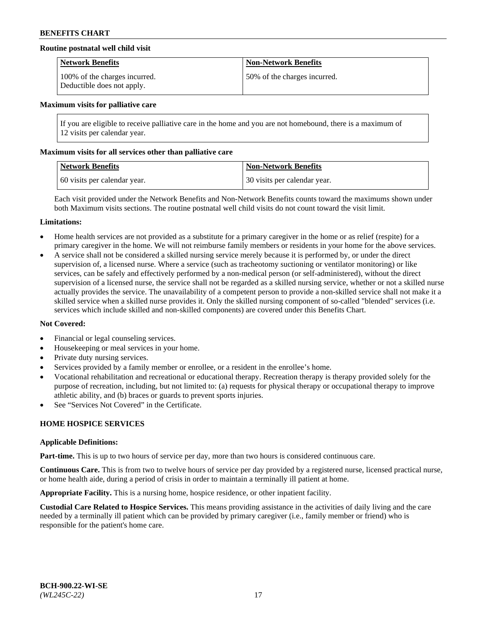## **Routine postnatal well child visit**

| <b>Network Benefits</b>                                     | <b>Non-Network Benefits</b>  |
|-------------------------------------------------------------|------------------------------|
| 100% of the charges incurred.<br>Deductible does not apply. | 50% of the charges incurred. |

#### **Maximum visits for palliative care**

If you are eligible to receive palliative care in the home and you are not homebound, there is a maximum of 12 visits per calendar year.

#### **Maximum visits for all services other than palliative care**

| Network Benefits             | <b>Non-Network Benefits</b>  |
|------------------------------|------------------------------|
| 60 visits per calendar year. | 30 visits per calendar year. |

Each visit provided under the Network Benefits and Non-Network Benefits counts toward the maximums shown under both Maximum visits sections. The routine postnatal well child visits do not count toward the visit limit.

#### **Limitations:**

- Home health services are not provided as a substitute for a primary caregiver in the home or as relief (respite) for a primary caregiver in the home. We will not reimburse family members or residents in your home for the above services.
- A service shall not be considered a skilled nursing service merely because it is performed by, or under the direct supervision of, a licensed nurse. Where a service (such as tracheotomy suctioning or ventilator monitoring) or like services, can be safely and effectively performed by a non-medical person (or self-administered), without the direct supervision of a licensed nurse, the service shall not be regarded as a skilled nursing service, whether or not a skilled nurse actually provides the service. The unavailability of a competent person to provide a non-skilled service shall not make it a skilled service when a skilled nurse provides it. Only the skilled nursing component of so-called "blended" services (i.e. services which include skilled and non-skilled components) are covered under this Benefits Chart.

## **Not Covered:**

- Financial or legal counseling services.
- Housekeeping or meal services in your home.
- Private duty nursing services.
- Services provided by a family member or enrollee, or a resident in the enrollee's home.
- Vocational rehabilitation and recreational or educational therapy. Recreation therapy is therapy provided solely for the purpose of recreation, including, but not limited to: (a) requests for physical therapy or occupational therapy to improve athletic ability, and (b) braces or guards to prevent sports injuries.
- See "Services Not Covered" in the Certificate.

## **HOME HOSPICE SERVICES**

#### **Applicable Definitions:**

**Part-time.** This is up to two hours of service per day, more than two hours is considered continuous care.

**Continuous Care.** This is from two to twelve hours of service per day provided by a registered nurse, licensed practical nurse, or home health aide, during a period of crisis in order to maintain a terminally ill patient at home.

**Appropriate Facility.** This is a nursing home, hospice residence, or other inpatient facility.

**Custodial Care Related to Hospice Services.** This means providing assistance in the activities of daily living and the care needed by a terminally ill patient which can be provided by primary caregiver (i.e., family member or friend) who is responsible for the patient's home care.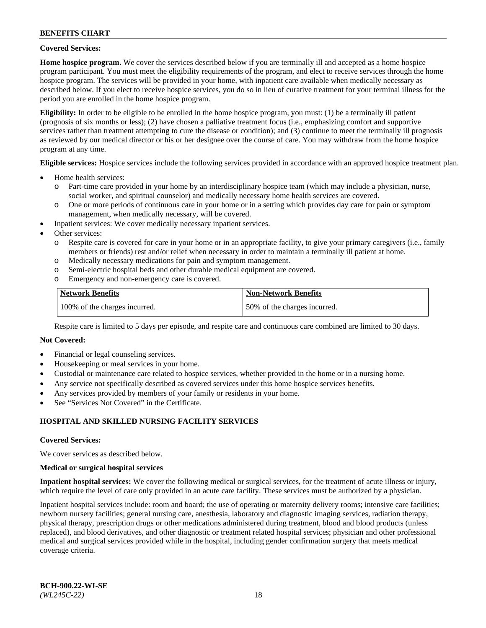#### **Covered Services:**

**Home hospice program.** We cover the services described below if you are terminally ill and accepted as a home hospice program participant. You must meet the eligibility requirements of the program, and elect to receive services through the home hospice program. The services will be provided in your home, with inpatient care available when medically necessary as described below. If you elect to receive hospice services, you do so in lieu of curative treatment for your terminal illness for the period you are enrolled in the home hospice program.

**Eligibility:** In order to be eligible to be enrolled in the home hospice program, you must: (1) be a terminally ill patient (prognosis of six months or less); (2) have chosen a palliative treatment focus (i.e., emphasizing comfort and supportive services rather than treatment attempting to cure the disease or condition); and (3) continue to meet the terminally ill prognosis as reviewed by our medical director or his or her designee over the course of care. You may withdraw from the home hospice program at any time.

**Eligible services:** Hospice services include the following services provided in accordance with an approved hospice treatment plan.

- Home health services:
	- o Part-time care provided in your home by an interdisciplinary hospice team (which may include a physician, nurse, social worker, and spiritual counselor) and medically necessary home health services are covered.
	- o One or more periods of continuous care in your home or in a setting which provides day care for pain or symptom management, when medically necessary, will be covered.
- Inpatient services: We cover medically necessary inpatient services.
- Other services:
	- o Respite care is covered for care in your home or in an appropriate facility, to give your primary caregivers (i.e., family members or friends) rest and/or relief when necessary in order to maintain a terminally ill patient at home.
	- o Medically necessary medications for pain and symptom management.
	- o Semi-electric hospital beds and other durable medical equipment are covered.
	- Emergency and non-emergency care is covered.

| Network Benefits              | <b>Non-Network Benefits</b>  |
|-------------------------------|------------------------------|
| 100% of the charges incurred. | 50% of the charges incurred. |

Respite care is limited to 5 days per episode, and respite care and continuous care combined are limited to 30 days.

## **Not Covered:**

- Financial or legal counseling services.
- Housekeeping or meal services in your home.
- Custodial or maintenance care related to hospice services, whether provided in the home or in a nursing home.
- Any service not specifically described as covered services under this home hospice services benefits.
- Any services provided by members of your family or residents in your home.
- See "Services Not Covered" in the Certificate.

## **HOSPITAL AND SKILLED NURSING FACILITY SERVICES**

#### **Covered Services:**

We cover services as described below.

#### **Medical or surgical hospital services**

**Inpatient hospital services:** We cover the following medical or surgical services, for the treatment of acute illness or injury, which require the level of care only provided in an acute care facility. These services must be authorized by a physician.

Inpatient hospital services include: room and board; the use of operating or maternity delivery rooms; intensive care facilities; newborn nursery facilities; general nursing care, anesthesia, laboratory and diagnostic imaging services, radiation therapy, physical therapy, prescription drugs or other medications administered during treatment, blood and blood products (unless replaced), and blood derivatives, and other diagnostic or treatment related hospital services; physician and other professional medical and surgical services provided while in the hospital, including gender confirmation surgery that meets medical coverage criteria.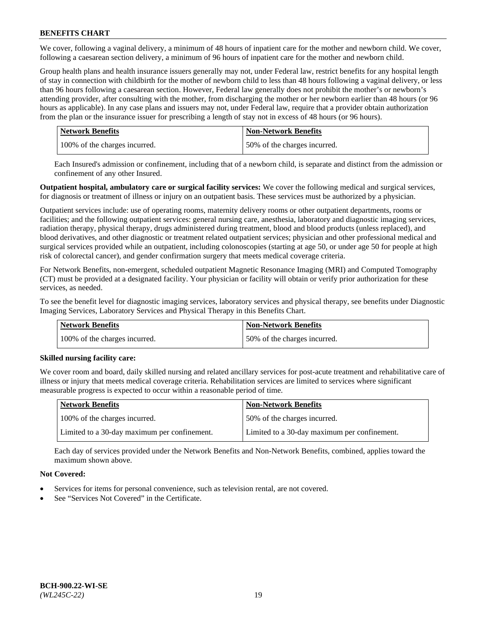We cover, following a vaginal delivery, a minimum of 48 hours of inpatient care for the mother and newborn child. We cover, following a caesarean section delivery, a minimum of 96 hours of inpatient care for the mother and newborn child.

Group health plans and health insurance issuers generally may not, under Federal law, restrict benefits for any hospital length of stay in connection with childbirth for the mother of newborn child to less than 48 hours following a vaginal delivery, or less than 96 hours following a caesarean section. However, Federal law generally does not prohibit the mother's or newborn's attending provider, after consulting with the mother, from discharging the mother or her newborn earlier than 48 hours (or 96 hours as applicable). In any case plans and issuers may not, under Federal law, require that a provider obtain authorization from the plan or the insurance issuer for prescribing a length of stay not in excess of 48 hours (or 96 hours).

| Network Benefits              | <b>Non-Network Benefits</b>  |
|-------------------------------|------------------------------|
| 100% of the charges incurred. | 50% of the charges incurred. |

Each Insured's admission or confinement, including that of a newborn child, is separate and distinct from the admission or confinement of any other Insured.

**Outpatient hospital, ambulatory care or surgical facility services:** We cover the following medical and surgical services, for diagnosis or treatment of illness or injury on an outpatient basis. These services must be authorized by a physician.

Outpatient services include: use of operating rooms, maternity delivery rooms or other outpatient departments, rooms or facilities; and the following outpatient services: general nursing care, anesthesia, laboratory and diagnostic imaging services, radiation therapy, physical therapy, drugs administered during treatment, blood and blood products (unless replaced), and blood derivatives, and other diagnostic or treatment related outpatient services; physician and other professional medical and surgical services provided while an outpatient, including colonoscopies (starting at age 50, or under age 50 for people at high risk of colorectal cancer), and gender confirmation surgery that meets medical coverage criteria.

For Network Benefits, non-emergent, scheduled outpatient Magnetic Resonance Imaging (MRI) and Computed Tomography (CT) must be provided at a designated facility. Your physician or facility will obtain or verify prior authorization for these services, as needed.

To see the benefit level for diagnostic imaging services, laboratory services and physical therapy, see benefits under Diagnostic Imaging Services, Laboratory Services and Physical Therapy in this Benefits Chart.

| <b>Network Benefits</b>       | <b>Non-Network Benefits</b>  |
|-------------------------------|------------------------------|
| 100% of the charges incurred. | 50% of the charges incurred. |

## **Skilled nursing facility care:**

We cover room and board, daily skilled nursing and related ancillary services for post-acute treatment and rehabilitative care of illness or injury that meets medical coverage criteria. Rehabilitation services are limited to services where significant measurable progress is expected to occur within a reasonable period of time.

| Network Benefits                             | <b>Non-Network Benefits</b>                  |
|----------------------------------------------|----------------------------------------------|
| 100% of the charges incurred.                | 50% of the charges incurred.                 |
| Limited to a 30-day maximum per confinement. | Limited to a 30-day maximum per confinement. |

Each day of services provided under the Network Benefits and Non-Network Benefits, combined, applies toward the maximum shown above.

## **Not Covered:**

- Services for items for personal convenience, such as television rental, are not covered.
- See "Services Not Covered" in the Certificate.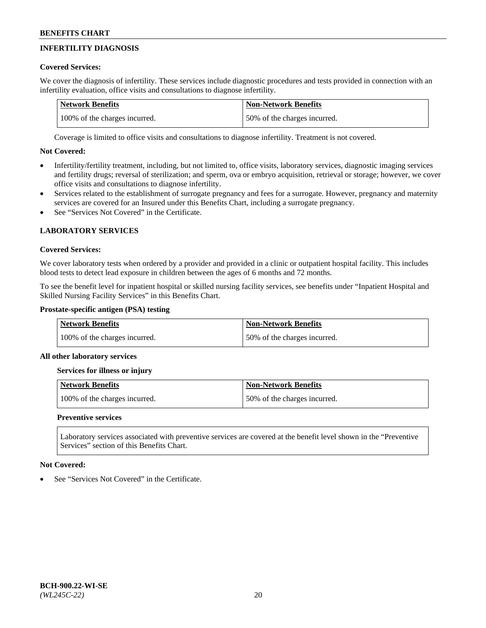# **INFERTILITY DIAGNOSIS**

## **Covered Services:**

We cover the diagnosis of infertility. These services include diagnostic procedures and tests provided in connection with an infertility evaluation, office visits and consultations to diagnose infertility.

| <b>Network Benefits</b>       | <b>Non-Network Benefits</b>  |
|-------------------------------|------------------------------|
| 100% of the charges incurred. | 50% of the charges incurred. |

Coverage is limited to office visits and consultations to diagnose infertility. Treatment is not covered.

## **Not Covered:**

- Infertility/fertility treatment, including, but not limited to, office visits, laboratory services, diagnostic imaging services and fertility drugs; reversal of sterilization; and sperm, ova or embryo acquisition, retrieval or storage; however, we cover office visits and consultations to diagnose infertility.
- Services related to the establishment of surrogate pregnancy and fees for a surrogate. However, pregnancy and maternity services are covered for an Insured under this Benefits Chart, including a surrogate pregnancy.
- See "Services Not Covered" in the Certificate.

# **LABORATORY SERVICES**

## **Covered Services:**

We cover laboratory tests when ordered by a provider and provided in a clinic or outpatient hospital facility. This includes blood tests to detect lead exposure in children between the ages of 6 months and 72 months.

To see the benefit level for inpatient hospital or skilled nursing facility services, see benefits under "Inpatient Hospital and Skilled Nursing Facility Services" in this Benefits Chart.

## **Prostate-specific antigen (PSA) testing**

| <b>Network Benefits</b>       | <b>Non-Network Benefits</b>  |
|-------------------------------|------------------------------|
| 100% of the charges incurred. | 50% of the charges incurred. |

## **All other laboratory services**

**Services for illness or injury**

| <b>Network Benefits</b>       | <b>Non-Network Benefits</b>  |
|-------------------------------|------------------------------|
| 100% of the charges incurred. | 50% of the charges incurred. |

## **Preventive services**

Laboratory services associated with preventive services are covered at the benefit level shown in the "Preventive Services" section of this Benefits Chart.

## **Not Covered:**

See "Services Not Covered" in the Certificate.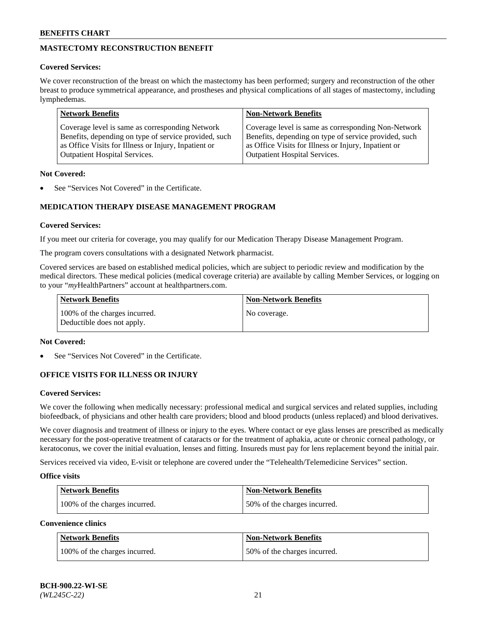# **MASTECTOMY RECONSTRUCTION BENEFIT**

## **Covered Services:**

We cover reconstruction of the breast on which the mastectomy has been performed; surgery and reconstruction of the other breast to produce symmetrical appearance, and prostheses and physical complications of all stages of mastectomy, including lymphedemas.

| <b>Network Benefits</b>                               | <b>Non-Network Benefits</b>                           |
|-------------------------------------------------------|-------------------------------------------------------|
| Coverage level is same as corresponding Network       | Coverage level is same as corresponding Non-Network   |
| Benefits, depending on type of service provided, such | Benefits, depending on type of service provided, such |
| as Office Visits for Illness or Injury, Inpatient or  | as Office Visits for Illness or Injury, Inpatient or  |
| <b>Outpatient Hospital Services.</b>                  | <b>Outpatient Hospital Services.</b>                  |

#### **Not Covered:**

See "Services Not Covered" in the Certificate.

# **MEDICATION THERAPY DISEASE MANAGEMENT PROGRAM**

#### **Covered Services:**

If you meet our criteria for coverage, you may qualify for our Medication Therapy Disease Management Program.

The program covers consultations with a designated Network pharmacist.

Covered services are based on established medical policies, which are subject to periodic review and modification by the medical directors. These medical policies (medical coverage criteria) are available by calling Member Services, or logging on to your "*my*HealthPartners" account at [healthpartners.com.](http://www.healthpartners.com/)

| Network Benefits                                            | <b>Non-Network Benefits</b> |
|-------------------------------------------------------------|-----------------------------|
| 100% of the charges incurred.<br>Deductible does not apply. | No coverage.                |

#### **Not Covered:**

See "Services Not Covered" in the Certificate.

## **OFFICE VISITS FOR ILLNESS OR INJURY**

#### **Covered Services:**

We cover the following when medically necessary: professional medical and surgical services and related supplies, including biofeedback, of physicians and other health care providers; blood and blood products (unless replaced) and blood derivatives.

We cover diagnosis and treatment of illness or injury to the eyes. Where contact or eye glass lenses are prescribed as medically necessary for the post-operative treatment of cataracts or for the treatment of aphakia, acute or chronic corneal pathology, or keratoconus, we cover the initial evaluation, lenses and fitting. Insureds must pay for lens replacement beyond the initial pair.

Services received via video, E-visit or telephone are covered under the "Telehealth/Telemedicine Services" section.

#### **Office visits**

| <b>Network Benefits</b>       | <b>Non-Network Benefits</b>  |
|-------------------------------|------------------------------|
| 100% of the charges incurred. | 50% of the charges incurred. |

**Convenience clinics**

| <b>Network Benefits</b>       | <b>Non-Network Benefits</b>   |
|-------------------------------|-------------------------------|
| 100% of the charges incurred. | 150% of the charges incurred. |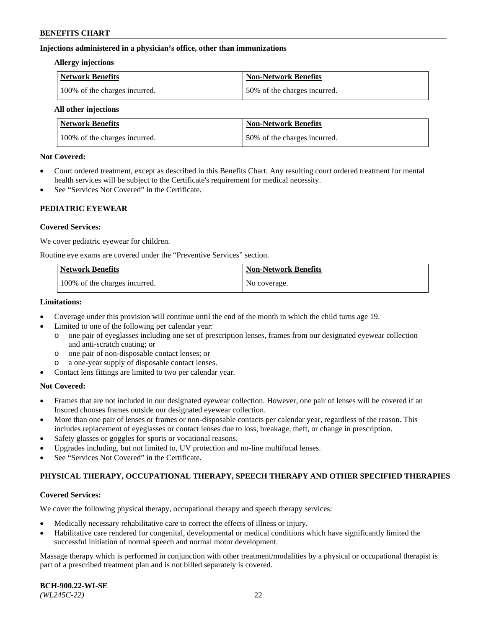#### **Injections administered in a physician's office, other than immunizations**

#### **Allergy injections**

| Network Benefits              | Non-Network Benefits         |
|-------------------------------|------------------------------|
| 100% of the charges incurred. | 50% of the charges incurred. |

#### **All other injections**

| <b>Network Benefits</b>       | <b>Non-Network Benefits</b>  |
|-------------------------------|------------------------------|
| 100% of the charges incurred. | 50% of the charges incurred. |

#### **Not Covered:**

- Court ordered treatment, except as described in this Benefits Chart. Any resulting court ordered treatment for mental health services will be subject to the Certificate's requirement for medical necessity.
- See "Services Not Covered" in the Certificate.

## **PEDIATRIC EYEWEAR**

## **Covered Services:**

We cover pediatric eyewear for children.

Routine eye exams are covered under the "Preventive Services" section.

| <b>Network Benefits</b>       | <b>Non-Network Benefits</b> |
|-------------------------------|-----------------------------|
| 100% of the charges incurred. | No coverage.                |

#### **Limitations:**

- Coverage under this provision will continue until the end of the month in which the child turns age 19.
- Limited to one of the following per calendar year:
	- o one pair of eyeglasses including one set of prescription lenses, frames from our designated eyewear collection and anti-scratch coating; or
	- o one pair of non-disposable contact lenses; or
	- o a one-year supply of disposable contact lenses.
- Contact lens fittings are limited to two per calendar year.

## **Not Covered:**

- Frames that are not included in our designated eyewear collection. However, one pair of lenses will be covered if an Insured chooses frames outside our designated eyewear collection.
- More than one pair of lenses or frames or non-disposable contacts per calendar year, regardless of the reason. This includes replacement of eyeglasses or contact lenses due to loss, breakage, theft, or change in prescription.
- Safety glasses or goggles for sports or vocational reasons.
- Upgrades including, but not limited to, UV protection and no-line multifocal lenses.
- See "Services Not Covered" in the Certificate.

## **PHYSICAL THERAPY, OCCUPATIONAL THERAPY, SPEECH THERAPY AND OTHER SPECIFIED THERAPIES**

## **Covered Services:**

We cover the following physical therapy, occupational therapy and speech therapy services:

- Medically necessary rehabilitative care to correct the effects of illness or injury.
- Habilitative care rendered for congenital, developmental or medical conditions which have significantly limited the successful initiation of normal speech and normal motor development.

Massage therapy which is performed in conjunction with other treatment/modalities by a physical or occupational therapist is part of a prescribed treatment plan and is not billed separately is covered.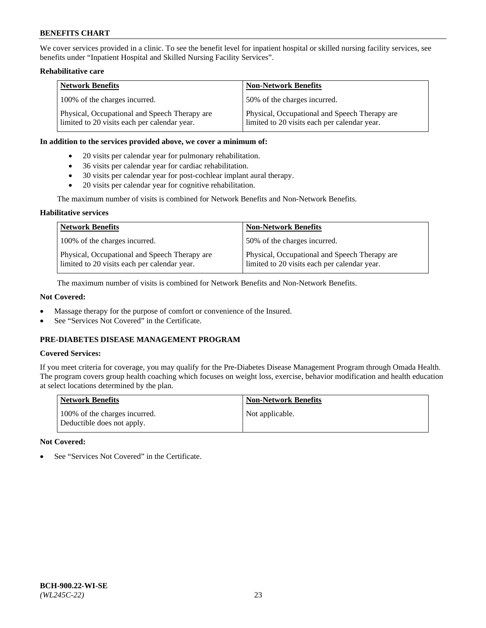We cover services provided in a clinic. To see the benefit level for inpatient hospital or skilled nursing facility services, see benefits under "Inpatient Hospital and Skilled Nursing Facility Services".

## **Rehabilitative care**

| <b>Network Benefits</b>                                                                       | <b>Non-Network Benefits</b>                                                                   |
|-----------------------------------------------------------------------------------------------|-----------------------------------------------------------------------------------------------|
| 100% of the charges incurred.                                                                 | 50% of the charges incurred.                                                                  |
| Physical, Occupational and Speech Therapy are<br>limited to 20 visits each per calendar year. | Physical, Occupational and Speech Therapy are<br>limited to 20 visits each per calendar year. |

#### **In addition to the services provided above, we cover a minimum of:**

- 20 visits per calendar year for pulmonary rehabilitation.
- 36 visits per calendar year for cardiac rehabilitation.
- 30 visits per calendar year for post-cochlear implant aural therapy.
- 20 visits per calendar year for cognitive rehabilitation.

The maximum number of visits is combined for Network Benefits and Non-Network Benefits.

## **Habilitative services**

| <b>Network Benefits</b>                                                                       | <b>Non-Network Benefits</b>                                                                   |
|-----------------------------------------------------------------------------------------------|-----------------------------------------------------------------------------------------------|
| 100% of the charges incurred.                                                                 | 50% of the charges incurred.                                                                  |
| Physical, Occupational and Speech Therapy are<br>limited to 20 visits each per calendar year. | Physical, Occupational and Speech Therapy are<br>limited to 20 visits each per calendar year. |

The maximum number of visits is combined for Network Benefits and Non-Network Benefits.

## **Not Covered:**

- Massage therapy for the purpose of comfort or convenience of the Insured.
- See "Services Not Covered" in the Certificate.

# **PRE-DIABETES DISEASE MANAGEMENT PROGRAM**

## **Covered Services:**

If you meet criteria for coverage, you may qualify for the Pre-Diabetes Disease Management Program through Omada Health. The program covers group health coaching which focuses on weight loss, exercise, behavior modification and health education at select locations determined by the plan.

| <b>Network Benefits</b>                                     | <b>Non-Network Benefits</b> |
|-------------------------------------------------------------|-----------------------------|
| 100% of the charges incurred.<br>Deductible does not apply. | Not applicable.             |

## **Not Covered:**

See "Services Not Covered" in the Certificate.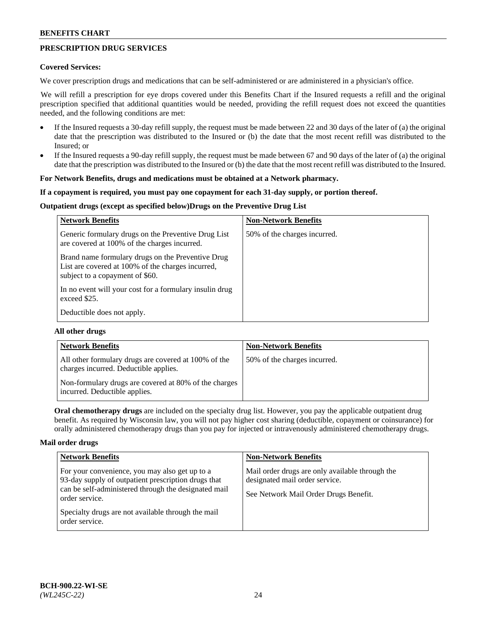## **PRESCRIPTION DRUG SERVICES**

#### **Covered Services:**

We cover prescription drugs and medications that can be self-administered or are administered in a physician's office.

We will refill a prescription for eye drops covered under this Benefits Chart if the Insured requests a refill and the original prescription specified that additional quantities would be needed, providing the refill request does not exceed the quantities needed, and the following conditions are met:

- If the Insured requests a 30-day refill supply, the request must be made between 22 and 30 days of the later of (a) the original date that the prescription was distributed to the Insured or (b) the date that the most recent refill was distributed to the Insured; or
- If the Insured requests a 90-day refill supply, the request must be made between 67 and 90 days of the later of (a) the original date that the prescription was distributed to the Insured or (b) the date that the most recent refill was distributed to the Insured.

#### **For Network Benefits, drugs and medications must be obtained at a Network pharmacy.**

#### **If a copayment is required, you must pay one copayment for each 31-day supply, or portion thereof.**

## **Outpatient drugs (except as specified below)Drugs on the Preventive Drug List**

| <b>Network Benefits</b>                                                                                                                   | <b>Non-Network Benefits</b>  |
|-------------------------------------------------------------------------------------------------------------------------------------------|------------------------------|
| Generic formulary drugs on the Preventive Drug List<br>are covered at 100% of the charges incurred.                                       | 50% of the charges incurred. |
| Brand name formulary drugs on the Preventive Drug<br>List are covered at 100% of the charges incurred,<br>subject to a copayment of \$60. |                              |
| In no event will your cost for a formulary insulin drug<br>exceed \$25.                                                                   |                              |
| Deductible does not apply.                                                                                                                |                              |

#### **All other drugs**

| <b>Network Benefits</b>                                                                       | <b>Non-Network Benefits</b>  |
|-----------------------------------------------------------------------------------------------|------------------------------|
| All other formulary drugs are covered at 100% of the<br>charges incurred. Deductible applies. | 50% of the charges incurred. |
| Non-formulary drugs are covered at 80% of the charges<br>incurred. Deductible applies.        |                              |

**Oral chemotherapy drugs** are included on the specialty drug list. However, you pay the applicable outpatient drug benefit. As required by Wisconsin law, you will not pay higher cost sharing (deductible, copayment or coinsurance) for orally administered chemotherapy drugs than you pay for injected or intravenously administered chemotherapy drugs.

## **Mail order drugs**

| <b>Network Benefits</b>                                                                                                                                                         | <b>Non-Network Benefits</b>                                                                                                |
|---------------------------------------------------------------------------------------------------------------------------------------------------------------------------------|----------------------------------------------------------------------------------------------------------------------------|
| For your convenience, you may also get up to a<br>93-day supply of outpatient prescription drugs that<br>can be self-administered through the designated mail<br>order service. | Mail order drugs are only available through the<br>designated mail order service.<br>See Network Mail Order Drugs Benefit. |
| Specialty drugs are not available through the mail<br>order service.                                                                                                            |                                                                                                                            |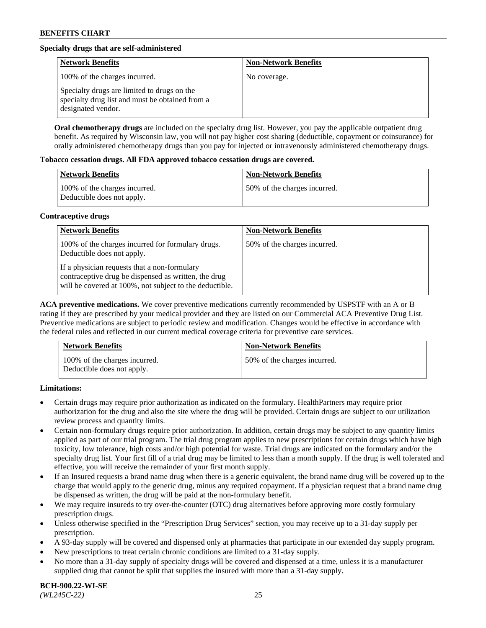## **Specialty drugs that are self-administered**

| <b>Network Benefits</b>                                                                                              | <b>Non-Network Benefits</b> |
|----------------------------------------------------------------------------------------------------------------------|-----------------------------|
| 100% of the charges incurred.                                                                                        | No coverage.                |
| Specialty drugs are limited to drugs on the<br>specialty drug list and must be obtained from a<br>designated vendor. |                             |

**Oral chemotherapy drugs** are included on the specialty drug list. However, you pay the applicable outpatient drug benefit. As required by Wisconsin law, you will not pay higher cost sharing (deductible, copayment or coinsurance) for orally administered chemotherapy drugs than you pay for injected or intravenously administered chemotherapy drugs.

#### **Tobacco cessation drugs. All FDA approved tobacco cessation drugs are covered.**

| Network Benefits                                            | <b>Non-Network Benefits</b>   |
|-------------------------------------------------------------|-------------------------------|
| 100% of the charges incurred.<br>Deductible does not apply. | 150% of the charges incurred. |

## **Contraceptive drugs**

| <b>Network Benefits</b>                                                                                                                                         | <b>Non-Network Benefits</b>  |
|-----------------------------------------------------------------------------------------------------------------------------------------------------------------|------------------------------|
| 100% of the charges incurred for formulary drugs.<br>Deductible does not apply.                                                                                 | 50% of the charges incurred. |
| If a physician requests that a non-formulary<br>contraceptive drug be dispensed as written, the drug<br>will be covered at 100%, not subject to the deductible. |                              |

**ACA preventive medications.** We cover preventive medications currently recommended by USPSTF with an A or B rating if they are prescribed by your medical provider and they are listed on our Commercial ACA Preventive Drug List. Preventive medications are subject to periodic review and modification. Changes would be effective in accordance with the federal rules and reflected in our current medical coverage criteria for preventive care services.

| <b>Network Benefits</b>                                     | <b>Non-Network Benefits</b>  |
|-------------------------------------------------------------|------------------------------|
| 100% of the charges incurred.<br>Deductible does not apply. | 50% of the charges incurred. |

## **Limitations:**

- Certain drugs may require prior authorization as indicated on the formulary. HealthPartners may require prior authorization for the drug and also the site where the drug will be provided. Certain drugs are subject to our utilization review process and quantity limits.
- Certain non-formulary drugs require prior authorization. In addition, certain drugs may be subject to any quantity limits applied as part of our trial program. The trial drug program applies to new prescriptions for certain drugs which have high toxicity, low tolerance, high costs and/or high potential for waste. Trial drugs are indicated on the formulary and/or the specialty drug list. Your first fill of a trial drug may be limited to less than a month supply. If the drug is well tolerated and effective, you will receive the remainder of your first month supply.
- If an Insured requests a brand name drug when there is a generic equivalent, the brand name drug will be covered up to the charge that would apply to the generic drug, minus any required copayment. If a physician request that a brand name drug be dispensed as written, the drug will be paid at the non-formulary benefit.
- We may require insureds to try over-the-counter (OTC) drug alternatives before approving more costly formulary prescription drugs.
- Unless otherwise specified in the "Prescription Drug Services" section, you may receive up to a 31-day supply per prescription.
- A 93-day supply will be covered and dispensed only at pharmacies that participate in our extended day supply program.
- New prescriptions to treat certain chronic conditions are limited to a 31-day supply.
- No more than a 31-day supply of specialty drugs will be covered and dispensed at a time, unless it is a manufacturer supplied drug that cannot be split that supplies the insured with more than a 31-day supply.

**BCH-900.22-WI-SE**  *(WL245C-22)* 25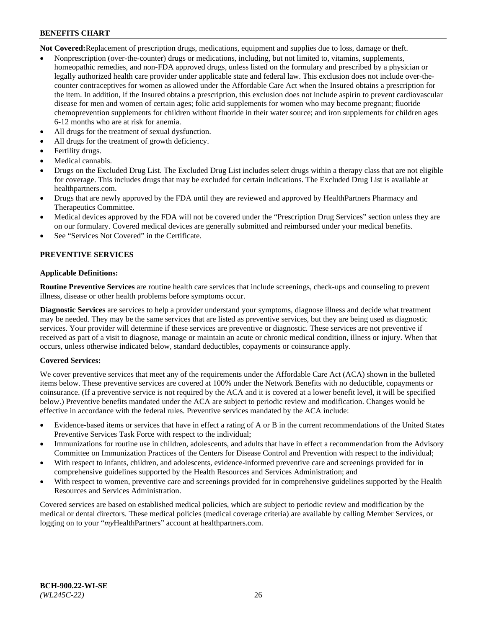**Not Covered:**Replacement of prescription drugs, medications, equipment and supplies due to loss, damage or theft.

- Nonprescription (over-the-counter) drugs or medications, including, but not limited to, vitamins, supplements, homeopathic remedies, and non-FDA approved drugs, unless listed on the formulary and prescribed by a physician or legally authorized health care provider under applicable state and federal law. This exclusion does not include over-thecounter contraceptives for women as allowed under the Affordable Care Act when the Insured obtains a prescription for the item. In addition, if the Insured obtains a prescription, this exclusion does not include aspirin to prevent cardiovascular disease for men and women of certain ages; folic acid supplements for women who may become pregnant; fluoride chemoprevention supplements for children without fluoride in their water source; and iron supplements for children ages 6-12 months who are at risk for anemia.
- All drugs for the treatment of sexual dysfunction.
- All drugs for the treatment of growth deficiency.
- Fertility drugs.
- Medical cannabis.
- Drugs on the Excluded Drug List. The Excluded Drug List includes select drugs within a therapy class that are not eligible for coverage. This includes drugs that may be excluded for certain indications. The Excluded Drug List is available at [healthpartners.com.](http://www.healthpartners.com/)
- Drugs that are newly approved by the FDA until they are reviewed and approved by HealthPartners Pharmacy and Therapeutics Committee.
- Medical devices approved by the FDA will not be covered under the "Prescription Drug Services" section unless they are on our formulary. Covered medical devices are generally submitted and reimbursed under your medical benefits.
- See "Services Not Covered" in the Certificate.

## **PREVENTIVE SERVICES**

#### **Applicable Definitions:**

**Routine Preventive Services** are routine health care services that include screenings, check-ups and counseling to prevent illness, disease or other health problems before symptoms occur.

**Diagnostic Services** are services to help a provider understand your symptoms, diagnose illness and decide what treatment may be needed. They may be the same services that are listed as preventive services, but they are being used as diagnostic services. Your provider will determine if these services are preventive or diagnostic. These services are not preventive if received as part of a visit to diagnose, manage or maintain an acute or chronic medical condition, illness or injury. When that occurs, unless otherwise indicated below, standard deductibles, copayments or coinsurance apply.

## **Covered Services:**

We cover preventive services that meet any of the requirements under the Affordable Care Act (ACA) shown in the bulleted items below. These preventive services are covered at 100% under the Network Benefits with no deductible, copayments or coinsurance. (If a preventive service is not required by the ACA and it is covered at a lower benefit level, it will be specified below.) Preventive benefits mandated under the ACA are subject to periodic review and modification. Changes would be effective in accordance with the federal rules. Preventive services mandated by the ACA include:

- Evidence-based items or services that have in effect a rating of A or B in the current recommendations of the United States Preventive Services Task Force with respect to the individual;
- Immunizations for routine use in children, adolescents, and adults that have in effect a recommendation from the Advisory Committee on Immunization Practices of the Centers for Disease Control and Prevention with respect to the individual;
- With respect to infants, children, and adolescents, evidence-informed preventive care and screenings provided for in comprehensive guidelines supported by the Health Resources and Services Administration; and
- With respect to women, preventive care and screenings provided for in comprehensive guidelines supported by the Health Resources and Services Administration.

Covered services are based on established medical policies, which are subject to periodic review and modification by the medical or dental directors. These medical policies (medical coverage criteria) are available by calling Member Services, or logging on to your "*my*HealthPartners" account at [healthpartners.com.](https://www.healthpartners.com/hp/index.html)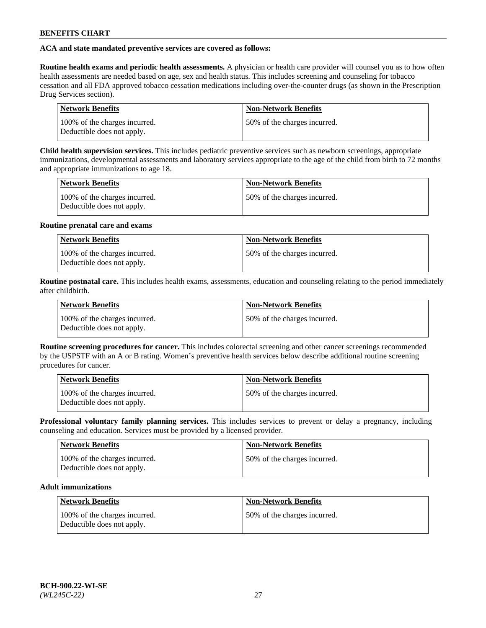## **ACA and state mandated preventive services are covered as follows:**

**Routine health exams and periodic health assessments.** A physician or health care provider will counsel you as to how often health assessments are needed based on age, sex and health status. This includes screening and counseling for tobacco cessation and all FDA approved tobacco cessation medications including over-the-counter drugs (as shown in the Prescription Drug Services section).

| <b>Network Benefits</b>                                     | <b>Non-Network Benefits</b>   |
|-------------------------------------------------------------|-------------------------------|
| 100% of the charges incurred.<br>Deductible does not apply. | 150% of the charges incurred. |

**Child health supervision services.** This includes pediatric preventive services such as newborn screenings, appropriate immunizations, developmental assessments and laboratory services appropriate to the age of the child from birth to 72 months and appropriate immunizations to age 18.

| <b>Network Benefits</b>                                     | <b>Non-Network Benefits</b>  |
|-------------------------------------------------------------|------------------------------|
| 100% of the charges incurred.<br>Deductible does not apply. | 50% of the charges incurred. |

#### **Routine prenatal care and exams**

| Network Benefits                                            | <b>Non-Network Benefits</b>   |
|-------------------------------------------------------------|-------------------------------|
| 100% of the charges incurred.<br>Deductible does not apply. | 150% of the charges incurred. |

**Routine postnatal care.** This includes health exams, assessments, education and counseling relating to the period immediately after childbirth.

| <b>Network Benefits</b>                                     | <b>Non-Network Benefits</b>  |
|-------------------------------------------------------------|------------------------------|
| 100% of the charges incurred.<br>Deductible does not apply. | 50% of the charges incurred. |

**Routine screening procedures for cancer.** This includes colorectal screening and other cancer screenings recommended by the USPSTF with an A or B rating. Women's preventive health services below describe additional routine screening procedures for cancer.

| <b>Network Benefits</b>                                     | <b>Non-Network Benefits</b>   |
|-------------------------------------------------------------|-------------------------------|
| 100% of the charges incurred.<br>Deductible does not apply. | 150% of the charges incurred. |

**Professional voluntary family planning services.** This includes services to prevent or delay a pregnancy, including counseling and education. Services must be provided by a licensed provider.

| <b>Network Benefits</b>                                     | <b>Non-Network Benefits</b>  |
|-------------------------------------------------------------|------------------------------|
| 100% of the charges incurred.<br>Deductible does not apply. | 50% of the charges incurred. |

## **Adult immunizations**

| Network Benefits                                            | <b>Non-Network Benefits</b>  |
|-------------------------------------------------------------|------------------------------|
| 100% of the charges incurred.<br>Deductible does not apply. | 50% of the charges incurred. |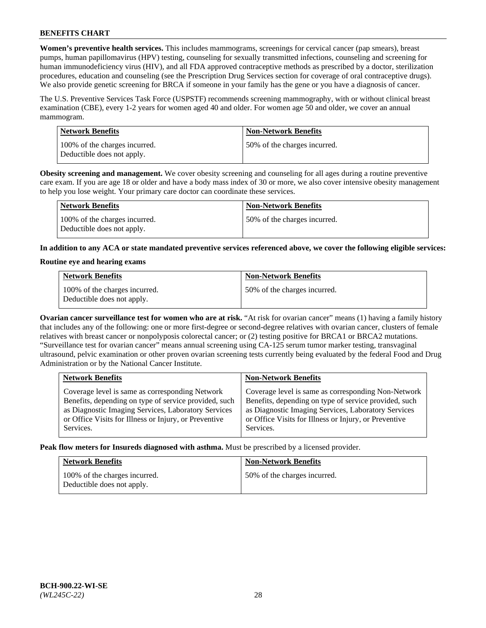**Women's preventive health services.** This includes mammograms, screenings for cervical cancer (pap smears), breast pumps, human papillomavirus (HPV) testing, counseling for sexually transmitted infections, counseling and screening for human immunodeficiency virus (HIV), and all FDA approved contraceptive methods as prescribed by a doctor, sterilization procedures, education and counseling (see the Prescription Drug Services section for coverage of oral contraceptive drugs). We also provide genetic screening for BRCA if someone in your family has the gene or you have a diagnosis of cancer.

The U.S. Preventive Services Task Force (USPSTF) recommends screening mammography, with or without clinical breast examination (CBE), every 1-2 years for women aged 40 and older. For women age 50 and older, we cover an annual mammogram.

| <b>Network Benefits</b>                                     | <b>Non-Network Benefits</b>  |
|-------------------------------------------------------------|------------------------------|
| 100% of the charges incurred.<br>Deductible does not apply. | 50% of the charges incurred. |

**Obesity screening and management.** We cover obesity screening and counseling for all ages during a routine preventive care exam. If you are age 18 or older and have a body mass index of 30 or more, we also cover intensive obesity management to help you lose weight. Your primary care doctor can coordinate these services.

| Network Benefits                                            | <b>Non-Network Benefits</b>  |
|-------------------------------------------------------------|------------------------------|
| 100% of the charges incurred.<br>Deductible does not apply. | 50% of the charges incurred. |

**In addition to any ACA or state mandated preventive services referenced above, we cover the following eligible services:**

#### **Routine eye and hearing exams**

| <b>Network Benefits</b>                                     | <b>Non-Network Benefits</b>  |
|-------------------------------------------------------------|------------------------------|
| 100% of the charges incurred.<br>Deductible does not apply. | 50% of the charges incurred. |

**Ovarian cancer surveillance test for women who are at risk.** "At risk for ovarian cancer" means (1) having a family history that includes any of the following: one or more first-degree or second-degree relatives with ovarian cancer, clusters of female relatives with breast cancer or nonpolyposis colorectal cancer; or (2) testing positive for BRCA1 or BRCA2 mutations. "Surveillance test for ovarian cancer" means annual screening using CA-125 serum tumor marker testing, transvaginal ultrasound, pelvic examination or other proven ovarian screening tests currently being evaluated by the federal Food and Drug Administration or by the National Cancer Institute.

| <b>Network Benefits</b>                               | <b>Non-Network Benefits</b>                           |
|-------------------------------------------------------|-------------------------------------------------------|
| Coverage level is same as corresponding Network       | Coverage level is same as corresponding Non-Network   |
| Benefits, depending on type of service provided, such | Benefits, depending on type of service provided, such |
| as Diagnostic Imaging Services, Laboratory Services   | as Diagnostic Imaging Services, Laboratory Services   |
| or Office Visits for Illness or Injury, or Preventive | or Office Visits for Illness or Injury, or Preventive |
| Services.                                             | Services.                                             |

**Peak flow meters for Insureds diagnosed with asthma.** Must be prescribed by a licensed provider.

| <b>Network Benefits</b>                                     | <b>Non-Network Benefits</b>  |
|-------------------------------------------------------------|------------------------------|
| 100% of the charges incurred.<br>Deductible does not apply. | 50% of the charges incurred. |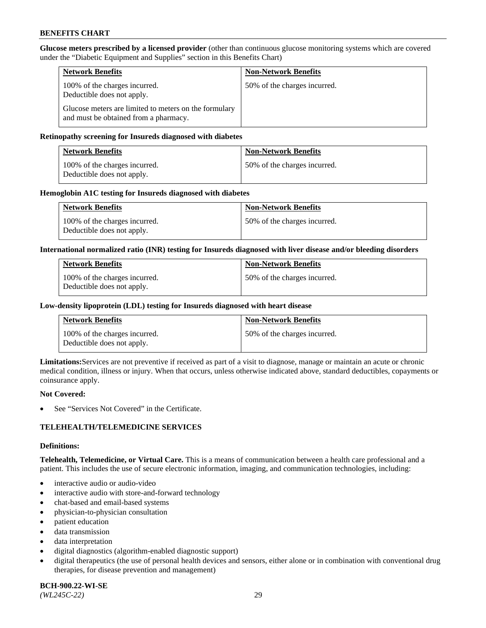**Glucose meters prescribed by a licensed provider** (other than continuous glucose monitoring systems which are covered under the "Diabetic Equipment and Supplies" section in this Benefits Chart)

| <b>Network Benefits</b>                                                                        | <b>Non-Network Benefits</b>  |
|------------------------------------------------------------------------------------------------|------------------------------|
| 100% of the charges incurred.<br>Deductible does not apply.                                    | 50% of the charges incurred. |
| Glucose meters are limited to meters on the formulary<br>and must be obtained from a pharmacy. |                              |

#### **Retinopathy screening for Insureds diagnosed with diabetes**

| Network Benefits                                            | <b>Non-Network Benefits</b>  |
|-------------------------------------------------------------|------------------------------|
| 100% of the charges incurred.<br>Deductible does not apply. | 50% of the charges incurred. |

#### **Hemoglobin A1C testing for Insureds diagnosed with diabetes**

| <b>Network Benefits</b>                                     | <b>Non-Network Benefits</b>  |
|-------------------------------------------------------------|------------------------------|
| 100% of the charges incurred.<br>Deductible does not apply. | 50% of the charges incurred. |

#### **International normalized ratio (INR) testing for Insureds diagnosed with liver disease and/or bleeding disorders**

| <b>Network Benefits</b>                                     | <b>Non-Network Benefits</b>  |
|-------------------------------------------------------------|------------------------------|
| 100% of the charges incurred.<br>Deductible does not apply. | 50% of the charges incurred. |

#### **Low-density lipoprotein (LDL) testing for Insureds diagnosed with heart disease**

| <b>Network Benefits</b>                                     | <b>Non-Network Benefits</b>  |
|-------------------------------------------------------------|------------------------------|
| 100% of the charges incurred.<br>Deductible does not apply. | 50% of the charges incurred. |

**Limitations:**Services are not preventive if received as part of a visit to diagnose, manage or maintain an acute or chronic medical condition, illness or injury. When that occurs, unless otherwise indicated above, standard deductibles, copayments or coinsurance apply.

#### **Not Covered:**

See "Services Not Covered" in the Certificate.

## **TELEHEALTH/TELEMEDICINE SERVICES**

#### **Definitions:**

**Telehealth, Telemedicine, or Virtual Care.** This is a means of communication between a health care professional and a patient. This includes the use of secure electronic information, imaging, and communication technologies, including:

- interactive audio or audio-video
- interactive audio with store-and-forward technology
- chat-based and email-based systems
- physician-to-physician consultation
- patient education
- data transmission
- data interpretation
- digital diagnostics (algorithm-enabled diagnostic support)
- digital therapeutics (the use of personal health devices and sensors, either alone or in combination with conventional drug therapies, for disease prevention and management)

**BCH-900.22-WI-SE**  *(WL245C-22)* 29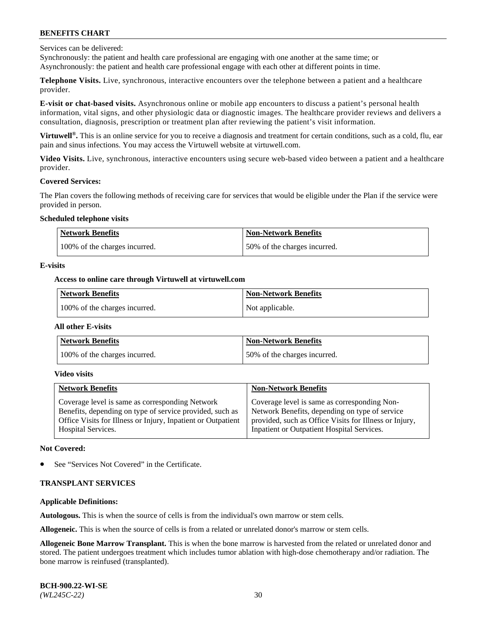Services can be delivered:

Synchronously: the patient and health care professional are engaging with one another at the same time; or Asynchronously: the patient and health care professional engage with each other at different points in time.

**Telephone Visits.** Live, synchronous, interactive encounters over the telephone between a patient and a healthcare provider.

**E-visit or chat-based visits.** Asynchronous online or mobile app encounters to discuss a patient's personal health information, vital signs, and other physiologic data or diagnostic images. The healthcare provider reviews and delivers a consultation, diagnosis, prescription or treatment plan after reviewing the patient's visit information.

**Virtuwell®.** This is an online service for you to receive a diagnosis and treatment for certain conditions, such as a cold, flu, ear pain and sinus infections. You may access the Virtuwell website at [virtuwell.com.](https://www.virtuwell.com/)

**Video Visits.** Live, synchronous, interactive encounters using secure web-based video between a patient and a healthcare provider.

#### **Covered Services:**

The Plan covers the following methods of receiving care for services that would be eligible under the Plan if the service were provided in person.

#### **Scheduled telephone visits**

| <b>Network Benefits</b>       | <b>Non-Network Benefits</b>  |
|-------------------------------|------------------------------|
| 100% of the charges incurred. | 50% of the charges incurred. |

## **E-visits**

## **Access to online care through Virtuwell at [virtuwell.com](https://www.virtuwell.com/)**

| <b>Network Benefits</b>       | <b>Non-Network Benefits</b> |
|-------------------------------|-----------------------------|
| 100% of the charges incurred. | Not applicable.             |

#### **All other E-visits**

| <b>Network Benefits</b>       | <b>Non-Network Benefits</b>  |
|-------------------------------|------------------------------|
| 100% of the charges incurred. | 50% of the charges incurred. |

#### **Video visits**

| <b>Network Benefits</b>                                      | <b>Non-Network Benefits</b>                            |
|--------------------------------------------------------------|--------------------------------------------------------|
| Coverage level is same as corresponding Network              | Coverage level is same as corresponding Non-           |
| Benefits, depending on type of service provided, such as     | Network Benefits, depending on type of service         |
| Office Visits for Illness or Injury, Inpatient or Outpatient | provided, such as Office Visits for Illness or Injury, |
| <b>Hospital Services.</b>                                    | Inpatient or Outpatient Hospital Services.             |

#### **Not Covered:**

See "Services Not Covered" in the Certificate.

## **TRANSPLANT SERVICES**

## **Applicable Definitions:**

**Autologous.** This is when the source of cells is from the individual's own marrow or stem cells.

**Allogeneic.** This is when the source of cells is from a related or unrelated donor's marrow or stem cells.

**Allogeneic Bone Marrow Transplant.** This is when the bone marrow is harvested from the related or unrelated donor and stored. The patient undergoes treatment which includes tumor ablation with high-dose chemotherapy and/or radiation. The bone marrow is reinfused (transplanted).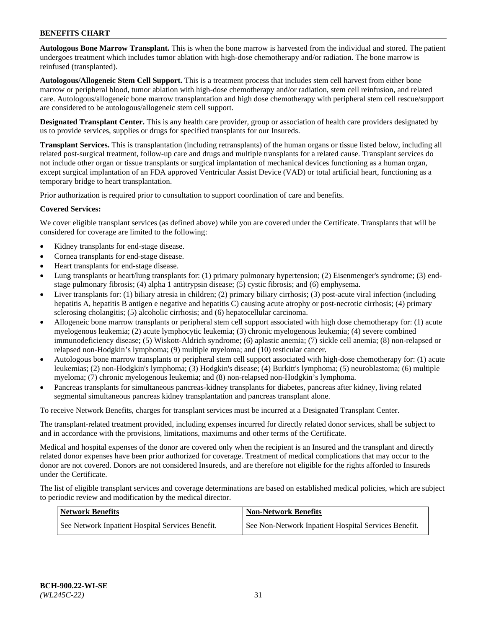**Autologous Bone Marrow Transplant.** This is when the bone marrow is harvested from the individual and stored. The patient undergoes treatment which includes tumor ablation with high-dose chemotherapy and/or radiation. The bone marrow is reinfused (transplanted).

**Autologous/Allogeneic Stem Cell Support.** This is a treatment process that includes stem cell harvest from either bone marrow or peripheral blood, tumor ablation with high-dose chemotherapy and/or radiation, stem cell reinfusion, and related care. Autologous/allogeneic bone marrow transplantation and high dose chemotherapy with peripheral stem cell rescue/support are considered to be autologous/allogeneic stem cell support.

**Designated Transplant Center.** This is any health care provider, group or association of health care providers designated by us to provide services, supplies or drugs for specified transplants for our Insureds.

**Transplant Services.** This is transplantation (including retransplants) of the human organs or tissue listed below, including all related post-surgical treatment, follow-up care and drugs and multiple transplants for a related cause. Transplant services do not include other organ or tissue transplants or surgical implantation of mechanical devices functioning as a human organ, except surgical implantation of an FDA approved Ventricular Assist Device (VAD) or total artificial heart, functioning as a temporary bridge to heart transplantation.

Prior authorization is required prior to consultation to support coordination of care and benefits.

#### **Covered Services:**

We cover eligible transplant services (as defined above) while you are covered under the Certificate. Transplants that will be considered for coverage are limited to the following:

- Kidney transplants for end-stage disease.
- Cornea transplants for end-stage disease.
- Heart transplants for end-stage disease.
- Lung transplants or heart/lung transplants for: (1) primary pulmonary hypertension; (2) Eisenmenger's syndrome; (3) endstage pulmonary fibrosis; (4) alpha 1 antitrypsin disease; (5) cystic fibrosis; and (6) emphysema.
- Liver transplants for: (1) biliary atresia in children; (2) primary biliary cirrhosis; (3) post-acute viral infection (including hepatitis A, hepatitis B antigen e negative and hepatitis C) causing acute atrophy or post-necrotic cirrhosis; (4) primary sclerosing cholangitis; (5) alcoholic cirrhosis; and (6) hepatocellular carcinoma.
- Allogeneic bone marrow transplants or peripheral stem cell support associated with high dose chemotherapy for: (1) acute myelogenous leukemia; (2) acute lymphocytic leukemia; (3) chronic myelogenous leukemia; (4) severe combined immunodeficiency disease; (5) Wiskott-Aldrich syndrome; (6) aplastic anemia; (7) sickle cell anemia; (8) non-relapsed or relapsed non-Hodgkin's lymphoma; (9) multiple myeloma; and (10) testicular cancer.
- Autologous bone marrow transplants or peripheral stem cell support associated with high-dose chemotherapy for: (1) acute leukemias; (2) non-Hodgkin's lymphoma; (3) Hodgkin's disease; (4) Burkitt's lymphoma; (5) neuroblastoma; (6) multiple myeloma; (7) chronic myelogenous leukemia; and (8) non-relapsed non-Hodgkin's lymphoma.
- Pancreas transplants for simultaneous pancreas-kidney transplants for diabetes, pancreas after kidney, living related segmental simultaneous pancreas kidney transplantation and pancreas transplant alone.

To receive Network Benefits, charges for transplant services must be incurred at a Designated Transplant Center.

The transplant-related treatment provided, including expenses incurred for directly related donor services, shall be subject to and in accordance with the provisions, limitations, maximums and other terms of the Certificate.

Medical and hospital expenses of the donor are covered only when the recipient is an Insured and the transplant and directly related donor expenses have been prior authorized for coverage. Treatment of medical complications that may occur to the donor are not covered. Donors are not considered Insureds, and are therefore not eligible for the rights afforded to Insureds under the Certificate.

The list of eligible transplant services and coverage determinations are based on established medical policies, which are subject to periodic review and modification by the medical director.

| Network Benefits                                 | <b>Non-Network Benefits</b>                          |
|--------------------------------------------------|------------------------------------------------------|
| See Network Inpatient Hospital Services Benefit. | See Non-Network Inpatient Hospital Services Benefit. |